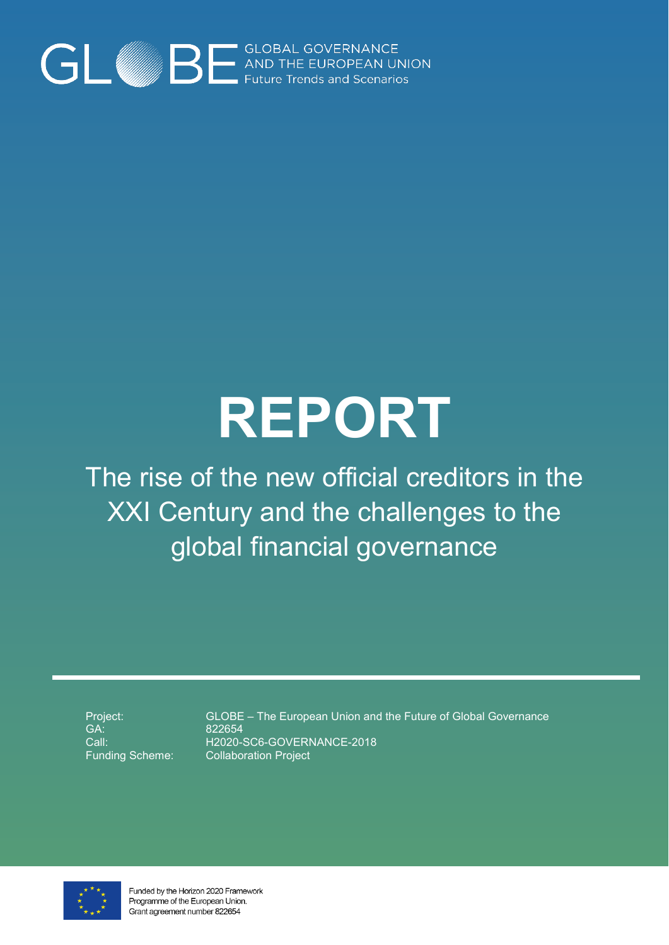

# **REPORT**

The rise of the new official creditors in the XXI Century and the challenges to the global financial governance

Project: GA: Call: Funding Scheme:

GLOBE – The European Union and the Future of Global Governance 822654 H2020-SC6-GOVERNANCE-2018 Collaboration Project



Funded by the Horizon 2020 Framework Programme of the European Union. Grant agreement number 822654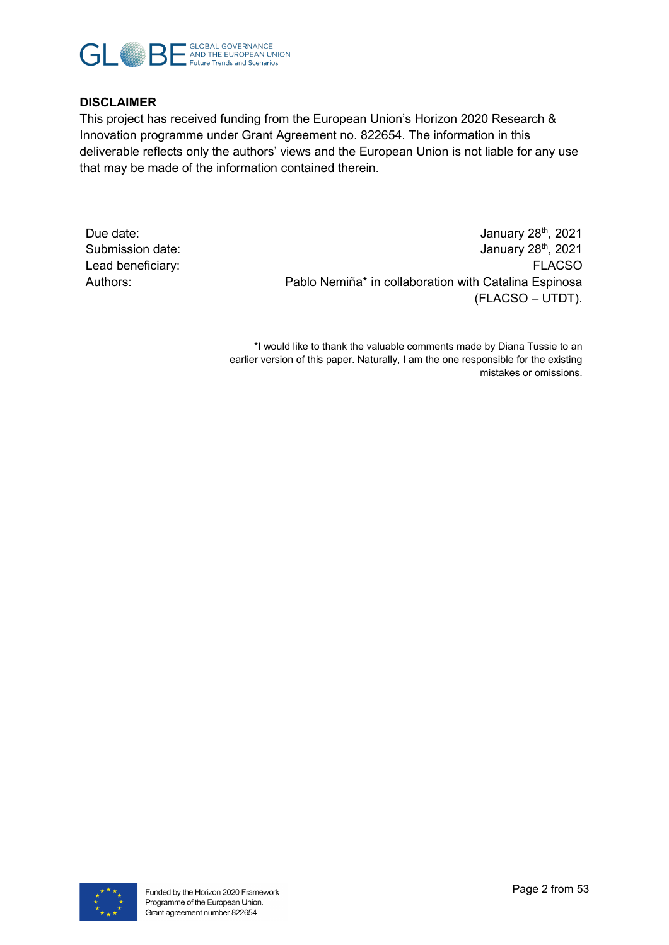

#### **DISCLAIMER**

This project has received funding from the European Union's Horizon 2020 Research & Innovation programme under Grant Agreement no. 822654. The information in this deliverable reflects only the authors' views and the European Union is not liable for any use that may be made of the information contained therein.

Due date: January 28<sup>th</sup>, 2021 Submission date: January 28<sup>th</sup>, 2021 Lead beneficiary: FLACSO Authors: Pablo Nemiña\* in collaboration with Catalina Espinosa (FLACSO – UTDT).

> \*I would like to thank the valuable comments made by Diana Tussie to an earlier version of this paper. Naturally, I am the one responsible for the existing mistakes or omissions.

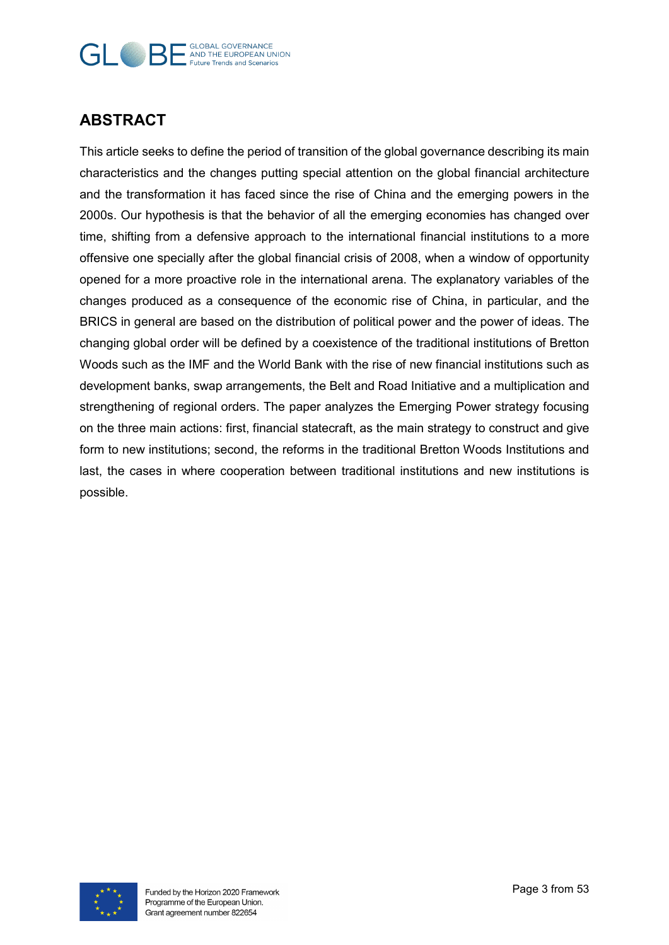#### **GLOBAL GOVERNANCE**  $\Box$ AND THE EUROPEAN UNION **Future Trends and Scenarios**

# **ABSTRACT**

This article seeks to define the period of transition of the global governance describing its main characteristics and the changes putting special attention on the global financial architecture and the transformation it has faced since the rise of China and the emerging powers in the 2000s. Our hypothesis is that the behavior of all the emerging economies has changed over time, shifting from a defensive approach to the international financial institutions to a more offensive one specially after the global financial crisis of 2008, when a window of opportunity opened for a more proactive role in the international arena. The explanatory variables of the changes produced as a consequence of the economic rise of China, in particular, and the BRICS in general are based on the distribution of political power and the power of ideas. The changing global order will be defined by a coexistence of the traditional institutions of Bretton Woods such as the IMF and the World Bank with the rise of new financial institutions such as development banks, swap arrangements, the Belt and Road Initiative and a multiplication and strengthening of regional orders. The paper analyzes the Emerging Power strategy focusing on the three main actions: first, financial statecraft, as the main strategy to construct and give form to new institutions; second, the reforms in the traditional Bretton Woods Institutions and last, the cases in where cooperation between traditional institutions and new institutions is possible.

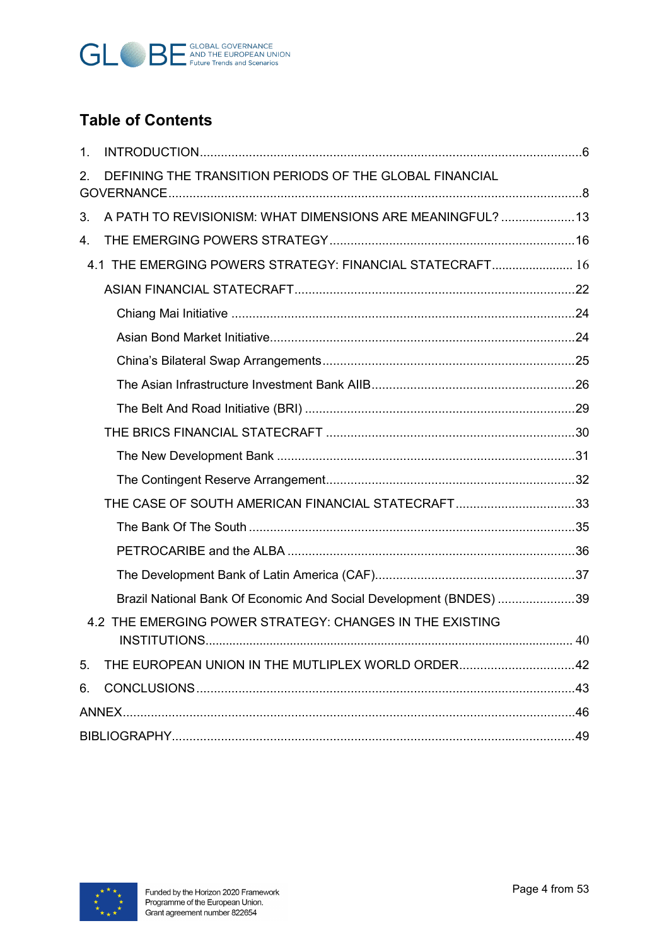

# **Table of Contents**

| $\mathbf{1}$ . |                                                                    |    |
|----------------|--------------------------------------------------------------------|----|
| 2.             | DEFINING THE TRANSITION PERIODS OF THE GLOBAL FINANCIAL            |    |
| 3.             | A PATH TO REVISIONISM: WHAT DIMENSIONS ARE MEANINGFUL?  13         |    |
| 4.             |                                                                    |    |
|                | 4.1 THE EMERGING POWERS STRATEGY: FINANCIAL STATECRAFT 16          |    |
|                |                                                                    |    |
|                |                                                                    |    |
|                |                                                                    |    |
|                |                                                                    |    |
|                |                                                                    |    |
|                |                                                                    |    |
|                |                                                                    |    |
|                |                                                                    |    |
|                |                                                                    |    |
|                | THE CASE OF SOUTH AMERICAN FINANCIAL STATECRAFT33                  |    |
|                |                                                                    |    |
|                |                                                                    |    |
|                |                                                                    |    |
|                | Brazil National Bank Of Economic And Social Development (BNDES) 39 |    |
|                | 4.2 THE EMERGING POWER STRATEGY: CHANGES IN THE EXISTING           | 40 |
| 5.             |                                                                    |    |
| 6.             |                                                                    |    |
|                |                                                                    |    |
|                |                                                                    |    |

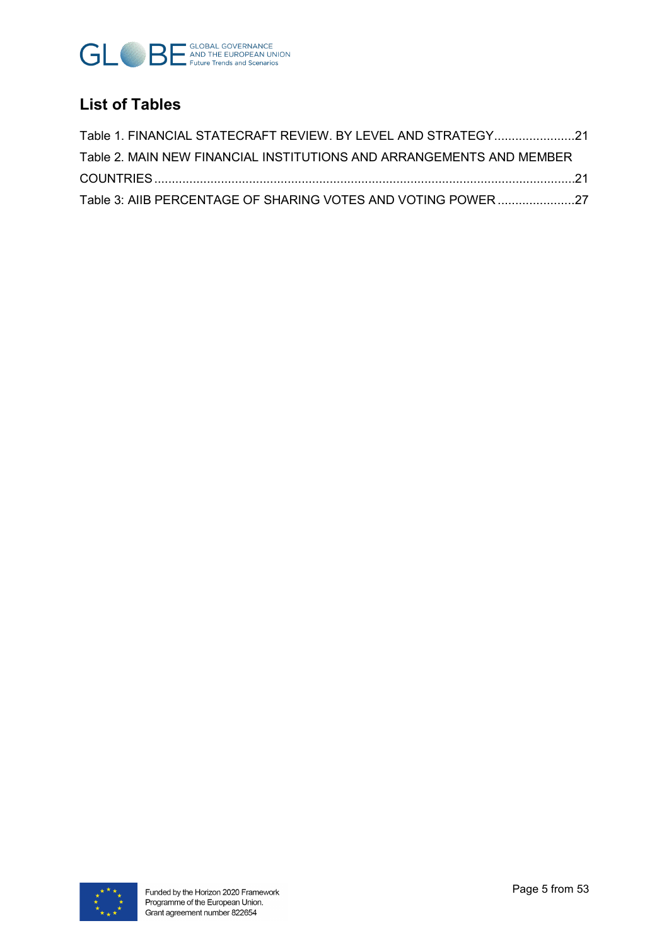

# **List of Tables**

| Table 1. FINANCIAL STATECRAFT REVIEW. BY LEVEL AND STRATEGY21                                                  |  |
|----------------------------------------------------------------------------------------------------------------|--|
| Table 2. MAIN NEW FINANCIAL INSTITUTIONS AND ARRANGEMENTS AND MEMBER                                           |  |
| .21. تصديد المستقلين المستقلين المستقلين المستقلين المستقلين المستقلين المستقلين المستقلين المستقلين المستقلين |  |
| Table 3: AIIB PERCENTAGE OF SHARING VOTES AND VOTING POWER 27                                                  |  |

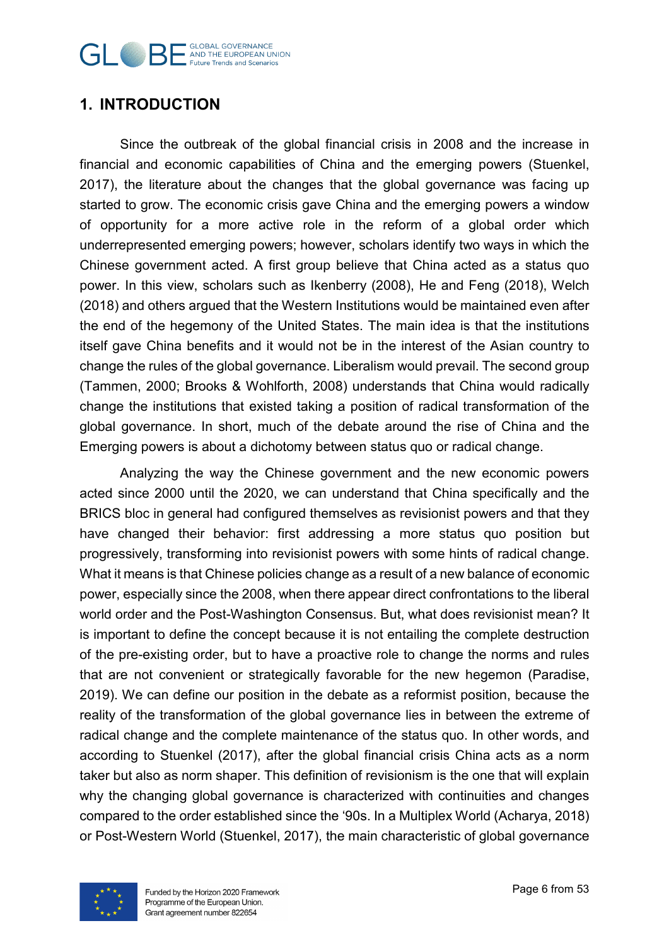#### **GLOBAL GOVERNANCE GLOBAL GOVERNANCE Future Trends and Scenarios**

# <span id="page-5-0"></span>**1. INTRODUCTION**

Since the outbreak of the global financial crisis in 2008 and the increase in financial and economic capabilities of China and the emerging powers (Stuenkel, 2017), the literature about the changes that the global governance was facing up started to grow. The economic crisis gave China and the emerging powers a window of opportunity for a more active role in the reform of a global order which underrepresented emerging powers; however, scholars identify two ways in which the Chinese government acted. A first group believe that China acted as a status quo power. In this view, scholars such as Ikenberry (2008), He and Feng (2018), Welch (2018) and others argued that the Western Institutions would be maintained even after the end of the hegemony of the United States. The main idea is that the institutions itself gave China benefits and it would not be in the interest of the Asian country to change the rules of the global governance. Liberalism would prevail. The second group (Tammen, 2000; Brooks & Wohlforth, 2008) understands that China would radically change the institutions that existed taking a position of radical transformation of the global governance. In short, much of the debate around the rise of China and the Emerging powers is about a dichotomy between status quo or radical change.

Analyzing the way the Chinese government and the new economic powers acted since 2000 until the 2020, we can understand that China specifically and the BRICS bloc in general had configured themselves as revisionist powers and that they have changed their behavior: first addressing a more status quo position but progressively, transforming into revisionist powers with some hints of radical change. What it means is that Chinese policies change as a result of a new balance of economic power, especially since the 2008, when there appear direct confrontations to the liberal world order and the Post-Washington Consensus. But, what does revisionist mean? It is important to define the concept because it is not entailing the complete destruction of the pre-existing order, but to have a proactive role to change the norms and rules that are not convenient or strategically favorable for the new hegemon (Paradise, 2019). We can define our position in the debate as a reformist position, because the reality of the transformation of the global governance lies in between the extreme of radical change and the complete maintenance of the status quo. In other words, and according to Stuenkel (2017), after the global financial crisis China acts as a norm taker but also as norm shaper. This definition of revisionism is the one that will explain why the changing global governance is characterized with continuities and changes compared to the order established since the '90s. In a Multiplex World (Acharya, 2018) or Post-Western World (Stuenkel, 2017), the main characteristic of global governance

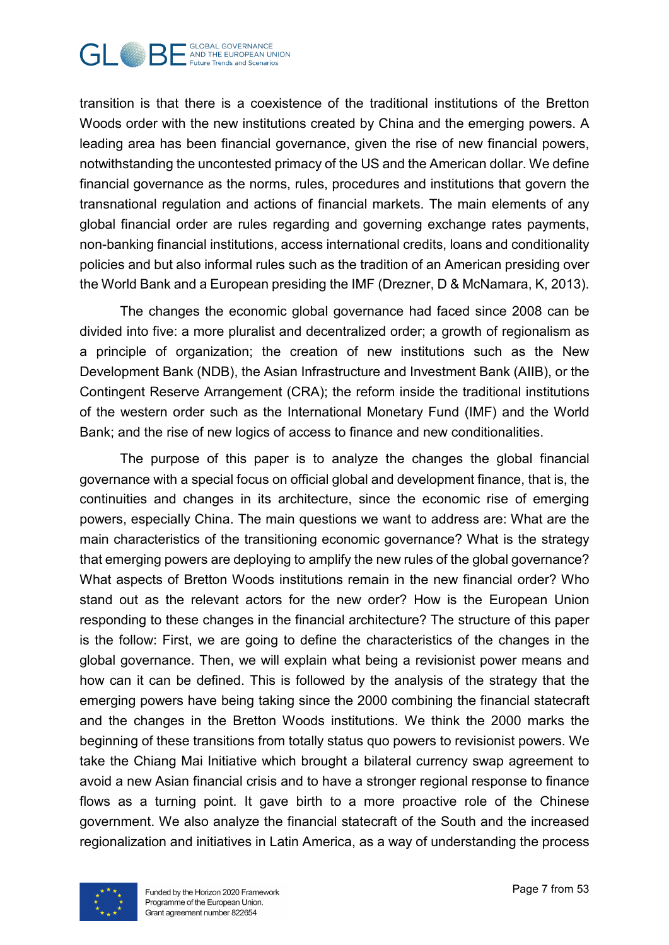

transition is that there is a coexistence of the traditional institutions of the Bretton Woods order with the new institutions created by China and the emerging powers. A leading area has been financial governance, given the rise of new financial powers, notwithstanding the uncontested primacy of the US and the American dollar. We define financial governance as the norms, rules, procedures and institutions that govern the transnational regulation and actions of financial markets. The main elements of any global financial order are rules regarding and governing exchange rates payments, non-banking financial institutions, access international credits, loans and conditionality policies and but also informal rules such as the tradition of an American presiding over the World Bank and a European presiding the IMF (Drezner, D & McNamara, K, 2013).

The changes the economic global governance had faced since 2008 can be divided into five: a more pluralist and decentralized order; a growth of regionalism as a principle of organization; the creation of new institutions such as the New Development Bank (NDB), the Asian Infrastructure and Investment Bank (AIIB), or the Contingent Reserve Arrangement (CRA); the reform inside the traditional institutions of the western order such as the International Monetary Fund (IMF) and the World Bank; and the rise of new logics of access to finance and new conditionalities.

The purpose of this paper is to analyze the changes the global financial governance with a special focus on official global and development finance, that is, the continuities and changes in its architecture, since the economic rise of emerging powers, especially China. The main questions we want to address are: What are the main characteristics of the transitioning economic governance? What is the strategy that emerging powers are deploying to amplify the new rules of the global governance? What aspects of Bretton Woods institutions remain in the new financial order? Who stand out as the relevant actors for the new order? How is the European Union responding to these changes in the financial architecture? The structure of this paper is the follow: First, we are going to define the characteristics of the changes in the global governance. Then, we will explain what being a revisionist power means and how can it can be defined. This is followed by the analysis of the strategy that the emerging powers have being taking since the 2000 combining the financial statecraft and the changes in the Bretton Woods institutions. We think the 2000 marks the beginning of these transitions from totally status quo powers to revisionist powers. We take the Chiang Mai Initiative which brought a bilateral currency swap agreement to avoid a new Asian financial crisis and to have a stronger regional response to finance flows as a turning point. It gave birth to a more proactive role of the Chinese government. We also analyze the financial statecraft of the South and the increased regionalization and initiatives in Latin America, as a way of understanding the process

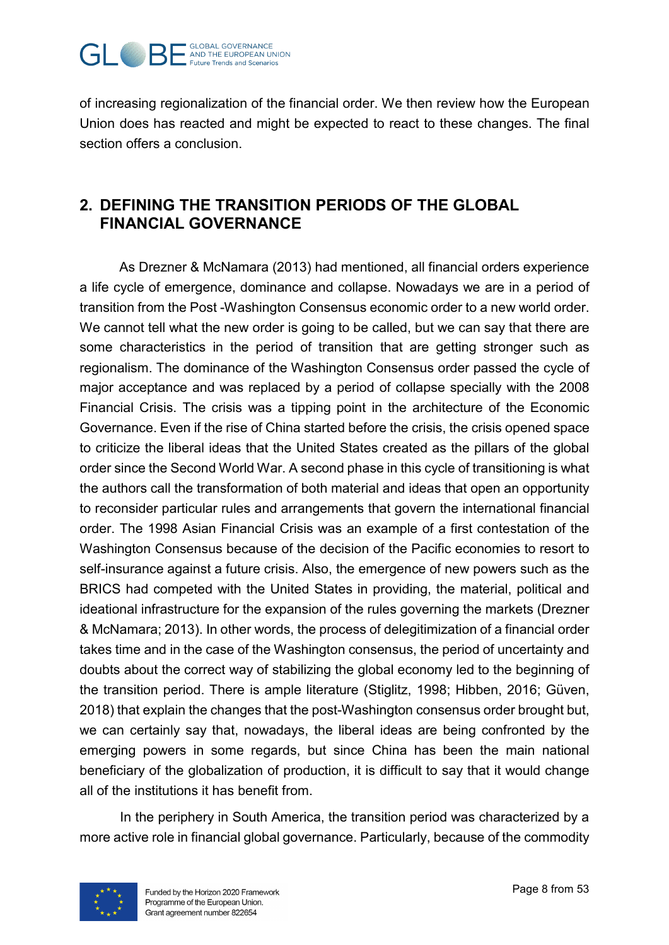

of increasing regionalization of the financial order. We then review how the European Union does has reacted and might be expected to react to these changes. The final section offers a conclusion.

# <span id="page-7-0"></span>**2. DEFINING THE TRANSITION PERIODS OF THE GLOBAL FINANCIAL GOVERNANCE**

As Drezner & McNamara (2013) had mentioned, all financial orders experience a life cycle of emergence, dominance and collapse. Nowadays we are in a period of transition from the Post -Washington Consensus economic order to a new world order. We cannot tell what the new order is going to be called, but we can say that there are some characteristics in the period of transition that are getting stronger such as regionalism. The dominance of the Washington Consensus order passed the cycle of major acceptance and was replaced by a period of collapse specially with the 2008 Financial Crisis. The crisis was a tipping point in the architecture of the Economic Governance. Even if the rise of China started before the crisis, the crisis opened space to criticize the liberal ideas that the United States created as the pillars of the global order since the Second World War. A second phase in this cycle of transitioning is what the authors call the transformation of both material and ideas that open an opportunity to reconsider particular rules and arrangements that govern the international financial order. The 1998 Asian Financial Crisis was an example of a first contestation of the Washington Consensus because of the decision of the Pacific economies to resort to self-insurance against a future crisis. Also, the emergence of new powers such as the BRICS had competed with the United States in providing, the material, political and ideational infrastructure for the expansion of the rules governing the markets (Drezner & McNamara; 2013). In other words, the process of delegitimization of a financial order takes time and in the case of the Washington consensus, the period of uncertainty and doubts about the correct way of stabilizing the global economy led to the beginning of the transition period. There is ample literature (Stiglitz, 1998; Hibben, 2016; Güven, 2018) that explain the changes that the post-Washington consensus order brought but, we can certainly say that, nowadays, the liberal ideas are being confronted by the emerging powers in some regards, but since China has been the main national beneficiary of the globalization of production, it is difficult to say that it would change all of the institutions it has benefit from.

In the periphery in South America, the transition period was characterized by a more active role in financial global governance. Particularly, because of the commodity

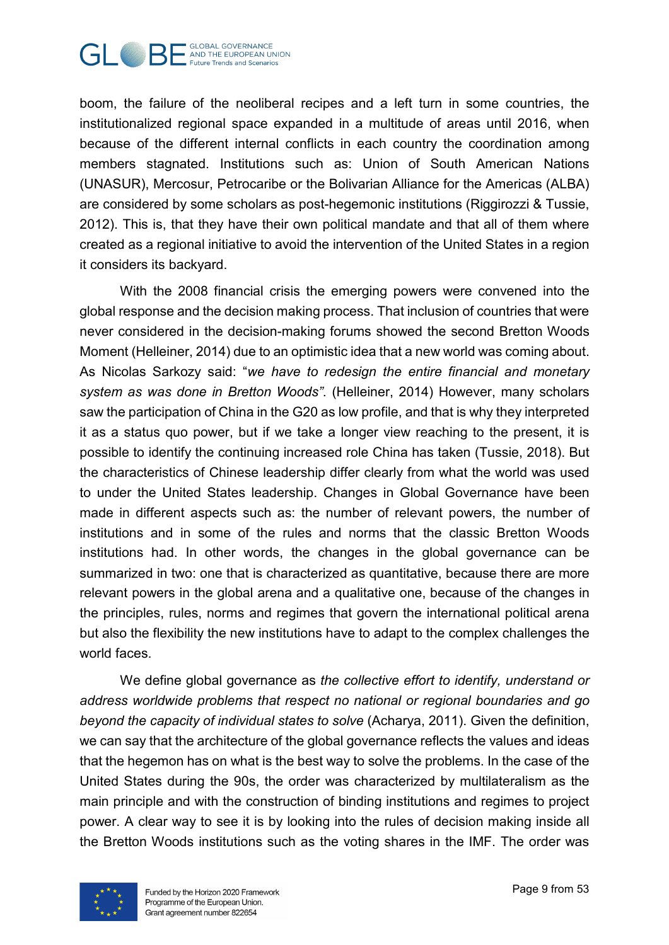

boom, the failure of the neoliberal recipes and a left turn in some countries, the institutionalized regional space expanded in a multitude of areas until 2016, when because of the different internal conflicts in each country the coordination among members stagnated. Institutions such as: Union of South American Nations (UNASUR), Mercosur, Petrocaribe or the Bolivarian Alliance for the Americas (ALBA) are considered by some scholars as post-hegemonic institutions (Riggirozzi & Tussie, 2012). This is, that they have their own political mandate and that all of them where created as a regional initiative to avoid the intervention of the United States in a region it considers its backyard.

With the 2008 financial crisis the emerging powers were convened into the global response and the decision making process. That inclusion of countries that were never considered in the decision-making forums showed the second Bretton Woods Moment (Helleiner, 2014) due to an optimistic idea that a new world was coming about. As Nicolas Sarkozy said: "*we have to redesign the entire financial and monetary system as was done in Bretton Woods"*. (Helleiner, 2014) However, many scholars saw the participation of China in the G20 as low profile, and that is why they interpreted it as a status quo power, but if we take a longer view reaching to the present, it is possible to identify the continuing increased role China has taken (Tussie, 2018). But the characteristics of Chinese leadership differ clearly from what the world was used to under the United States leadership. Changes in Global Governance have been made in different aspects such as: the number of relevant powers, the number of institutions and in some of the rules and norms that the classic Bretton Woods institutions had. In other words, the changes in the global governance can be summarized in two: one that is characterized as quantitative, because there are more relevant powers in the global arena and a qualitative one, because of the changes in the principles, rules, norms and regimes that govern the international political arena but also the flexibility the new institutions have to adapt to the complex challenges the world faces

We define global governance as *the collective effort to identify, understand or address worldwide problems that respect no national or regional boundaries and go beyond the capacity of individual states to solve* (Acharya, 2011). Given the definition, we can say that the architecture of the global governance reflects the values and ideas that the hegemon has on what is the best way to solve the problems. In the case of the United States during the 90s, the order was characterized by multilateralism as the main principle and with the construction of binding institutions and regimes to project power. A clear way to see it is by looking into the rules of decision making inside all the Bretton Woods institutions such as the voting shares in the IMF. The order was

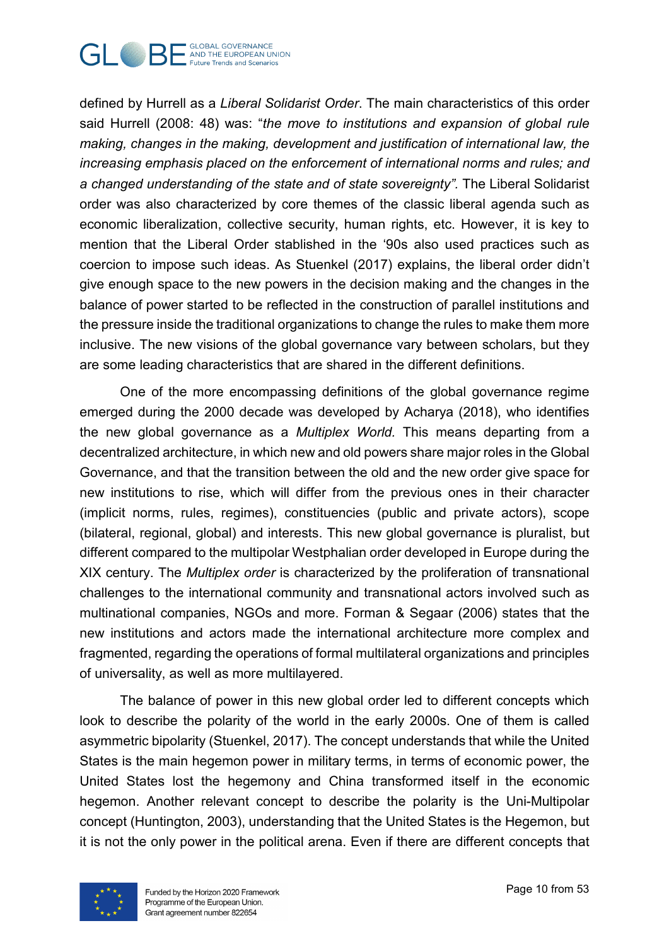

defined by Hurrell as a *Liberal Solidarist Order*. The main characteristics of this order said Hurrell (2008: 48) was: "*the move to institutions and expansion of global rule making, changes in the making, development and justification of international law, the increasing emphasis placed on the enforcement of international norms and rules; and*  a changed understanding of the state and of state sovereignty". The Liberal Solidarist order was also characterized by core themes of the classic liberal agenda such as economic liberalization, collective security, human rights, etc. However, it is key to mention that the Liberal Order stablished in the '90s also used practices such as coercion to impose such ideas. As Stuenkel (2017) explains, the liberal order didn't give enough space to the new powers in the decision making and the changes in the balance of power started to be reflected in the construction of parallel institutions and the pressure inside the traditional organizations to change the rules to make them more inclusive. The new visions of the global governance vary between scholars, but they are some leading characteristics that are shared in the different definitions.

One of the more encompassing definitions of the global governance regime emerged during the 2000 decade was developed by Acharya (2018), who identifies the new global governance as a *Multiplex World.* This means departing from a decentralized architecture, in which new and old powers share major roles in the Global Governance, and that the transition between the old and the new order give space for new institutions to rise, which will differ from the previous ones in their character (implicit norms, rules, regimes), constituencies (public and private actors), scope (bilateral, regional, global) and interests. This new global governance is pluralist, but different compared to the multipolar Westphalian order developed in Europe during the XIX century. The *Multiplex order* is characterized by the proliferation of transnational challenges to the international community and transnational actors involved such as multinational companies, NGOs and more. Forman & Segaar (2006) states that the new institutions and actors made the international architecture more complex and fragmented, regarding the operations of formal multilateral organizations and principles of universality, as well as more multilayered.

The balance of power in this new global order led to different concepts which look to describe the polarity of the world in the early 2000s. One of them is called asymmetric bipolarity (Stuenkel, 2017). The concept understands that while the United States is the main hegemon power in military terms, in terms of economic power, the United States lost the hegemony and China transformed itself in the economic hegemon. Another relevant concept to describe the polarity is the Uni-Multipolar concept (Huntington, 2003), understanding that the United States is the Hegemon, but it is not the only power in the political arena. Even if there are different concepts that

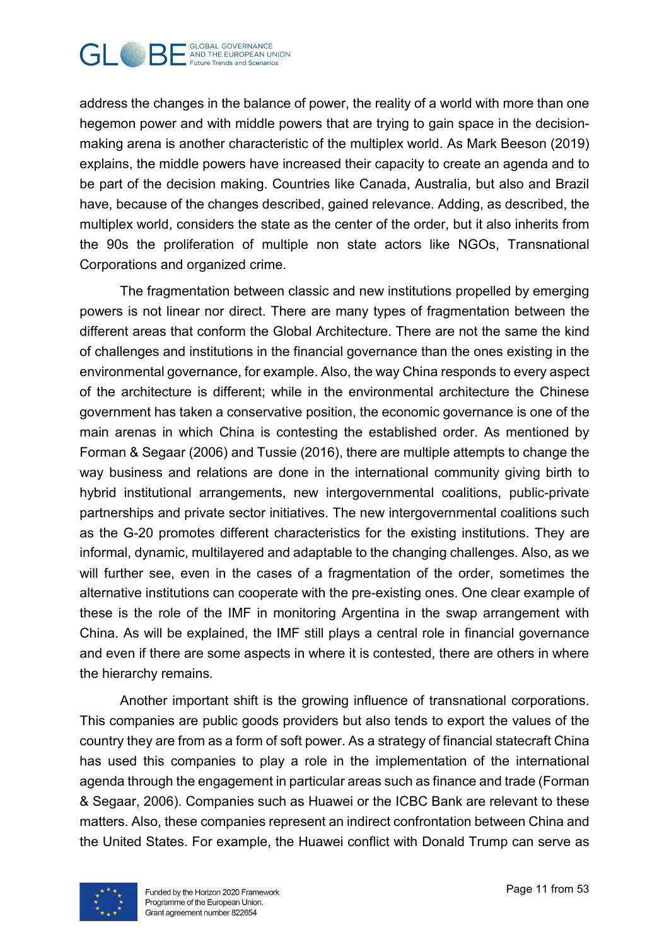

address the changes in the balance of power, the reality of a world with more than one hegemon power and with middle powers that are trying to gain space in the decisionmaking arena is another characteristic of the multiplex world. As Mark Beeson (2019) explains, the middle powers have increased their capacity to create an agenda and to be part of the decision making. Countries like Canada, Australia, but also and Brazil have, because of the changes described, gained relevance. Adding, as described, the multiplex world, considers the state as the center of the order, but it also inherits from the 90s the proliferation of multiple non state actors like NGOs, Transnational Corporations and organized crime.

The fragmentation between classic and new institutions propelled by emerging powers is not linear nor direct. There are many types of fragmentation between the different areas that conform the Global Architecture. There are not the same the kind of challenges and institutions in the financial governance than the ones existing in the environmental governance, for example. Also, the way China responds to every aspect of the architecture is different; while in the environmental architecture the Chinese government has taken a conservative position, the economic governance is one of the main arenas in which China is contesting the established order. As mentioned by Forman & Segaar (2006) and Tussie (2016), there are multiple attempts to change the way business and relations are done in the international community giving birth to hybrid institutional arrangements, new intergovernmental coalitions, public-private partnerships and private sector initiatives. The new intergovernmental coalitions such as the G-20 promotes different characteristics for the existing institutions. They are informal, dynamic, multilayered and adaptable to the changing challenges. Also, as we will further see, even in the cases of a fragmentation of the order, sometimes the alternative institutions can cooperate with the pre-existing ones. One clear example of these is the role of the IMF in monitoring Argentina in the swap arrangement with China. As will be explained, the IMF still plays a central role in financial governance and even if there are some aspects in where it is contested, there are others in where the hierarchy remains.

Another important shift is the growing influence of transnational corporations. This companies are public goods providers but also tends to export the values of the country they are from as a form of soft power. As a strategy of financial statecraft China has used this companies to play a role in the implementation of the international agenda through the engagement in particular areas such as finance and trade (Forman & Segaar, 2006). Companies such as Huawei or the ICBC Bank are relevant to these matters. Also, these companies represent an indirect confrontation between China and the United States. For example, the Huawei conflict with Donald Trump can serve as

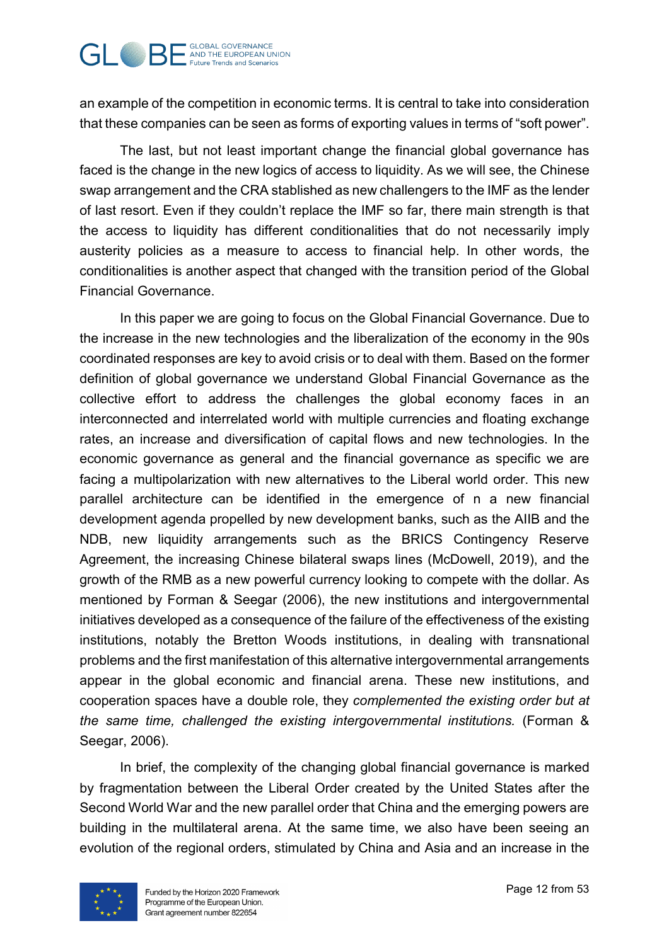

an example of the competition in economic terms. It is central to take into consideration that these companies can be seen as forms of exporting values in terms of "soft power".

The last, but not least important change the financial global governance has faced is the change in the new logics of access to liquidity. As we will see, the Chinese swap arrangement and the CRA stablished as new challengers to the IMF as the lender of last resort. Even if they couldn't replace the IMF so far, there main strength is that the access to liquidity has different conditionalities that do not necessarily imply austerity policies as a measure to access to financial help. In other words, the conditionalities is another aspect that changed with the transition period of the Global Financial Governance.

In this paper we are going to focus on the Global Financial Governance. Due to the increase in the new technologies and the liberalization of the economy in the 90s coordinated responses are key to avoid crisis or to deal with them. Based on the former definition of global governance we understand Global Financial Governance as the collective effort to address the challenges the global economy faces in an interconnected and interrelated world with multiple currencies and floating exchange rates, an increase and diversification of capital flows and new technologies. In the economic governance as general and the financial governance as specific we are facing a multipolarization with new alternatives to the Liberal world order. This new parallel architecture can be identified in the emergence of n a new financial development agenda propelled by new development banks, such as the AIIB and the NDB, new liquidity arrangements such as the BRICS Contingency Reserve Agreement, the increasing Chinese bilateral swaps lines (McDowell, 2019), and the growth of the RMB as a new powerful currency looking to compete with the dollar. As mentioned by Forman & Seegar (2006), the new institutions and intergovernmental initiatives developed as a consequence of the failure of the effectiveness of the existing institutions, notably the Bretton Woods institutions, in dealing with transnational problems and the first manifestation of this alternative intergovernmental arrangements appear in the global economic and financial arena. These new institutions, and cooperation spaces have a double role, they *complemented the existing order but at the same time, challenged the existing intergovernmental institutions.* (Forman & Seegar, 2006).

In brief, the complexity of the changing global financial governance is marked by fragmentation between the Liberal Order created by the United States after the Second World War and the new parallel order that China and the emerging powers are building in the multilateral arena. At the same time, we also have been seeing an evolution of the regional orders, stimulated by China and Asia and an increase in the

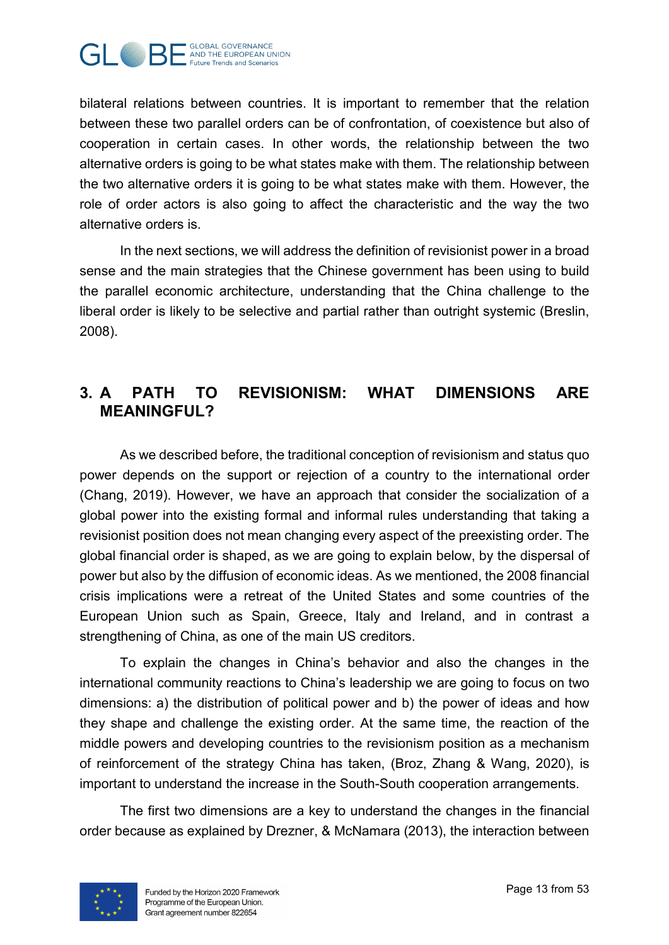

bilateral relations between countries. It is important to remember that the relation between these two parallel orders can be of confrontation, of coexistence but also of cooperation in certain cases. In other words, the relationship between the two alternative orders is going to be what states make with them. The relationship between the two alternative orders it is going to be what states make with them. However, the role of order actors is also going to affect the characteristic and the way the two alternative orders is.

In the next sections, we will address the definition of revisionist power in a broad sense and the main strategies that the Chinese government has been using to build the parallel economic architecture, understanding that the China challenge to the liberal order is likely to be selective and partial rather than outright systemic (Breslin, 2008).

# <span id="page-12-0"></span>**3. A PATH TO REVISIONISM: WHAT DIMENSIONS ARE MEANINGFUL?**

As we described before, the traditional conception of revisionism and status quo power depends on the support or rejection of a country to the international order (Chang, 2019). However, we have an approach that consider the socialization of a global power into the existing formal and informal rules understanding that taking a revisionist position does not mean changing every aspect of the preexisting order. The global financial order is shaped, as we are going to explain below, by the dispersal of power but also by the diffusion of economic ideas. As we mentioned, the 2008 financial crisis implications were a retreat of the United States and some countries of the European Union such as Spain, Greece, Italy and Ireland, and in contrast a strengthening of China, as one of the main US creditors.

To explain the changes in China's behavior and also the changes in the international community reactions to China's leadership we are going to focus on two dimensions: a) the distribution of political power and b) the power of ideas and how they shape and challenge the existing order. At the same time, the reaction of the middle powers and developing countries to the revisionism position as a mechanism of reinforcement of the strategy China has taken, (Broz, Zhang & Wang, 2020), is important to understand the increase in the South-South cooperation arrangements.

The first two dimensions are a key to understand the changes in the financial order because as explained by Drezner, & McNamara (2013), the interaction between

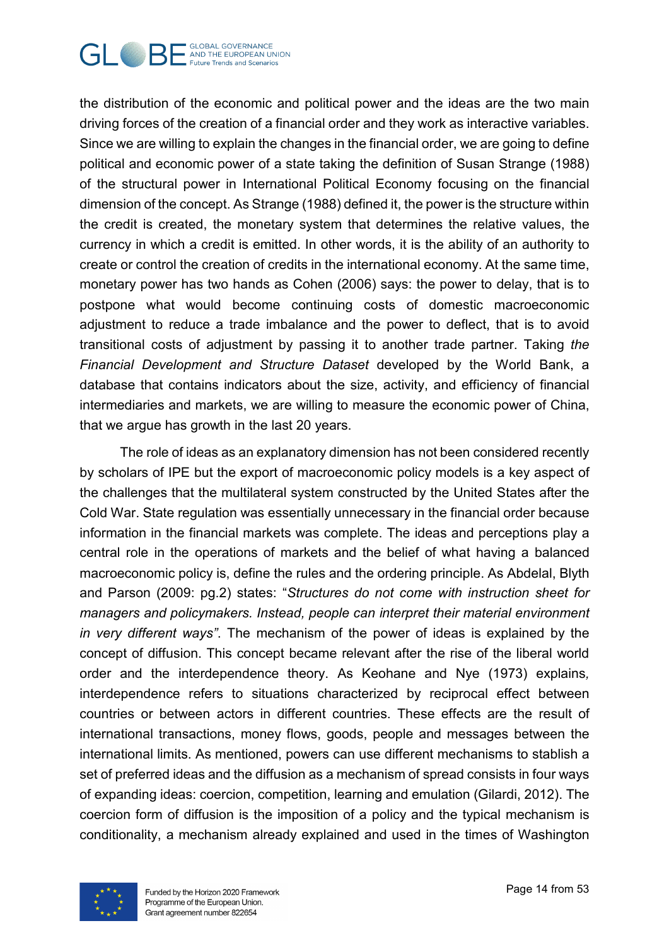

the distribution of the economic and political power and the ideas are the two main driving forces of the creation of a financial order and they work as interactive variables. Since we are willing to explain the changes in the financial order, we are going to define political and economic power of a state taking the definition of Susan Strange (1988) of the structural power in International Political Economy focusing on the financial dimension of the concept. As Strange (1988) defined it, the power is the structure within the credit is created, the monetary system that determines the relative values, the currency in which a credit is emitted. In other words, it is the ability of an authority to create or control the creation of credits in the international economy. At the same time, monetary power has two hands as Cohen (2006) says: the power to delay, that is to postpone what would become continuing costs of domestic macroeconomic adjustment to reduce a trade imbalance and the power to deflect, that is to avoid transitional costs of adjustment by passing it to another trade partner. Taking *the Financial Development and Structure Dataset* developed by the World Bank, a database that contains indicators about the size, activity, and efficiency of financial intermediaries and markets, we are willing to measure the economic power of China, that we argue has growth in the last 20 years.

The role of ideas as an explanatory dimension has not been considered recently by scholars of IPE but the export of macroeconomic policy models is a key aspect of the challenges that the multilateral system constructed by the United States after the Cold War. State regulation was essentially unnecessary in the financial order because information in the financial markets was complete. The ideas and perceptions play a central role in the operations of markets and the belief of what having a balanced macroeconomic policy is, define the rules and the ordering principle. As Abdelal, Blyth and Parson (2009: pg.2) states: "*Structures do not come with instruction sheet for managers and policymakers. Instead, people can interpret their material environment in very different ways"*. The mechanism of the power of ideas is explained by the concept of diffusion. This concept became relevant after the rise of the liberal world order and the interdependence theory. As Keohane and Nye (1973) explains*,* interdependence refers to situations characterized by reciprocal effect between countries or between actors in different countries. These effects are the result of international transactions, money flows, goods, people and messages between the international limits. As mentioned, powers can use different mechanisms to stablish a set of preferred ideas and the diffusion as a mechanism of spread consists in four ways of expanding ideas: coercion, competition, learning and emulation (Gilardi, 2012). The coercion form of diffusion is the imposition of a policy and the typical mechanism is conditionality, a mechanism already explained and used in the times of Washington

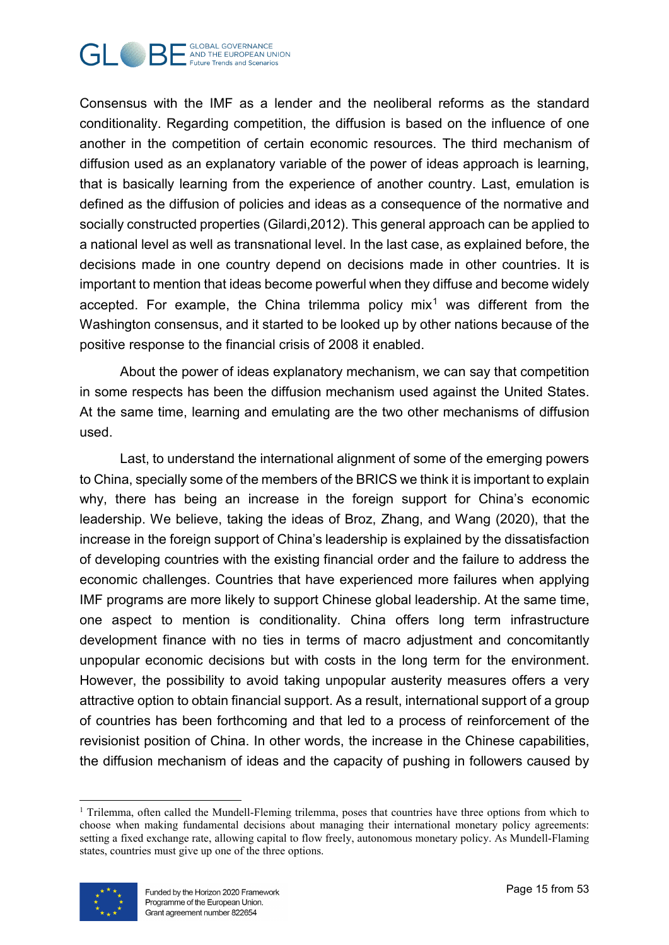

Consensus with the IMF as a lender and the neoliberal reforms as the standard conditionality. Regarding competition, the diffusion is based on the influence of one another in the competition of certain economic resources. The third mechanism of diffusion used as an explanatory variable of the power of ideas approach is learning, that is basically learning from the experience of another country. Last, emulation is defined as the diffusion of policies and ideas as a consequence of the normative and socially constructed properties (Gilardi,2012). This general approach can be applied to a national level as well as transnational level. In the last case, as explained before, the decisions made in one country depend on decisions made in other countries. It is important to mention that ideas become powerful when they diffuse and become widely accepted. For example, the China trilemma policy mix<sup>[1](#page-14-0)</sup> was different from the Washington consensus, and it started to be looked up by other nations because of the positive response to the financial crisis of 2008 it enabled.

About the power of ideas explanatory mechanism, we can say that competition in some respects has been the diffusion mechanism used against the United States. At the same time, learning and emulating are the two other mechanisms of diffusion used.

Last, to understand the international alignment of some of the emerging powers to China, specially some of the members of the BRICS we think it is important to explain why, there has being an increase in the foreign support for China's economic leadership. We believe, taking the ideas of Broz, Zhang, and Wang (2020), that the increase in the foreign support of China's leadership is explained by the dissatisfaction of developing countries with the existing financial order and the failure to address the economic challenges. Countries that have experienced more failures when applying IMF programs are more likely to support Chinese global leadership. At the same time, one aspect to mention is conditionality. China offers long term infrastructure development finance with no ties in terms of macro adjustment and concomitantly unpopular economic decisions but with costs in the long term for the environment. However, the possibility to avoid taking unpopular austerity measures offers a very attractive option to obtain financial support. As a result, international support of a group of countries has been forthcoming and that led to a process of reinforcement of the revisionist position of China. In other words, the increase in the Chinese capabilities, the diffusion mechanism of ideas and the capacity of pushing in followers caused by

<span id="page-14-0"></span> $\overline{a}$ <sup>1</sup> Trilemma, often called the Mundell-Fleming trilemma, poses that countries have three options from which to choose when making fundamental decisions about managing their international monetary policy agreements: setting a fixed exchange rate, allowing capital to flow freely, autonomous monetary policy. As Mundell-Flaming states, countries must give up one of the three options.

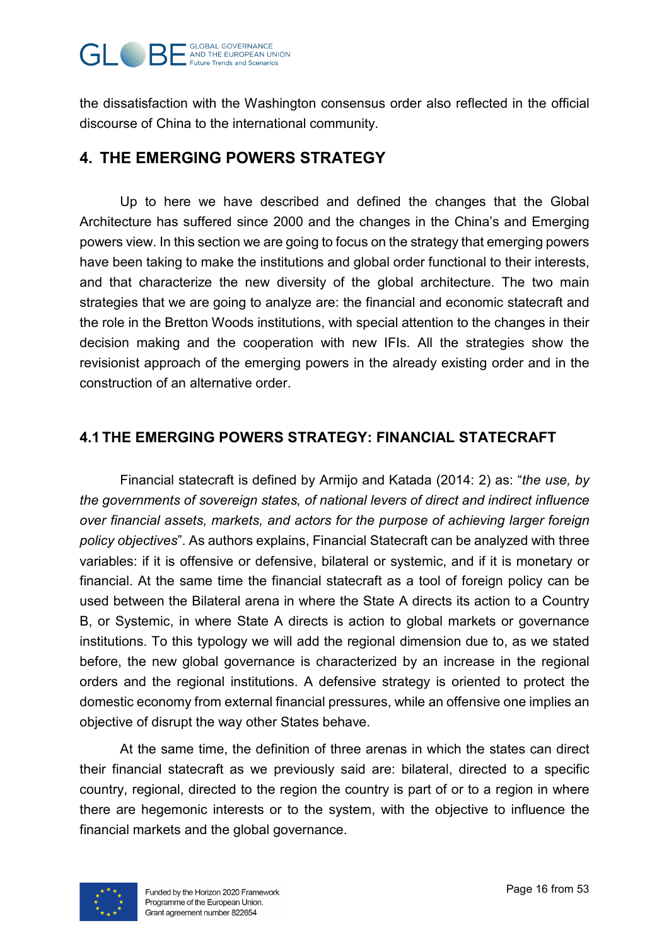

the dissatisfaction with the Washington consensus order also reflected in the official discourse of China to the international community.

# <span id="page-15-0"></span>**4. THE EMERGING POWERS STRATEGY**

Up to here we have described and defined the changes that the Global Architecture has suffered since 2000 and the changes in the China's and Emerging powers view. In this section we are going to focus on the strategy that emerging powers have been taking to make the institutions and global order functional to their interests, and that characterize the new diversity of the global architecture. The two main strategies that we are going to analyze are: the financial and economic statecraft and the role in the Bretton Woods institutions, with special attention to the changes in their decision making and the cooperation with new IFIs. All the strategies show the revisionist approach of the emerging powers in the already existing order and in the construction of an alternative order.

## <span id="page-15-1"></span>**4.1 THE EMERGING POWERS STRATEGY: FINANCIAL STATECRAFT**

Financial statecraft is defined by Armijo and Katada (2014: 2) as: "*the use, by the governments of sovereign states, of national levers of direct and indirect influence over financial assets, markets, and actors for the purpose of achieving larger foreign policy objectives*". As authors explains, Financial Statecraft can be analyzed with three variables: if it is offensive or defensive, bilateral or systemic, and if it is monetary or financial. At the same time the financial statecraft as a tool of foreign policy can be used between the Bilateral arena in where the State A directs its action to a Country B, or Systemic, in where State A directs is action to global markets or governance institutions. To this typology we will add the regional dimension due to, as we stated before, the new global governance is characterized by an increase in the regional orders and the regional institutions. A defensive strategy is oriented to protect the domestic economy from external financial pressures, while an offensive one implies an objective of disrupt the way other States behave.

At the same time, the definition of three arenas in which the states can direct their financial statecraft as we previously said are: bilateral, directed to a specific country, regional, directed to the region the country is part of or to a region in where there are hegemonic interests or to the system, with the objective to influence the financial markets and the global governance.

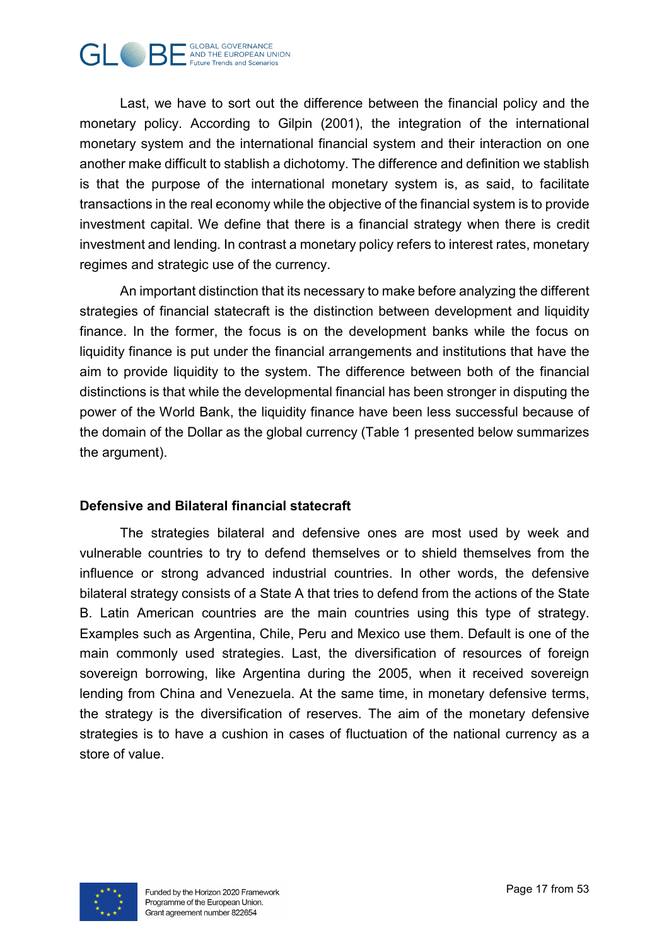

Last, we have to sort out the difference between the financial policy and the monetary policy. According to Gilpin (2001), the integration of the international monetary system and the international financial system and their interaction on one another make difficult to stablish a dichotomy. The difference and definition we stablish is that the purpose of the international monetary system is, as said, to facilitate transactions in the real economy while the objective of the financial system is to provide investment capital. We define that there is a financial strategy when there is credit investment and lending. In contrast a monetary policy refers to interest rates, monetary regimes and strategic use of the currency.

An important distinction that its necessary to make before analyzing the different strategies of financial statecraft is the distinction between development and liquidity finance. In the former, the focus is on the development banks while the focus on liquidity finance is put under the financial arrangements and institutions that have the aim to provide liquidity to the system. The difference between both of the financial distinctions is that while the developmental financial has been stronger in disputing the power of the World Bank, the liquidity finance have been less successful because of the domain of the Dollar as the global currency (Table 1 presented below summarizes the argument).

#### **Defensive and Bilateral financial statecraft**

The strategies bilateral and defensive ones are most used by week and vulnerable countries to try to defend themselves or to shield themselves from the influence or strong advanced industrial countries. In other words, the defensive bilateral strategy consists of a State A that tries to defend from the actions of the State B. Latin American countries are the main countries using this type of strategy. Examples such as Argentina, Chile, Peru and Mexico use them. Default is one of the main commonly used strategies. Last, the diversification of resources of foreign sovereign borrowing, like Argentina during the 2005, when it received sovereign lending from China and Venezuela. At the same time, in monetary defensive terms, the strategy is the diversification of reserves. The aim of the monetary defensive strategies is to have a cushion in cases of fluctuation of the national currency as a store of value.

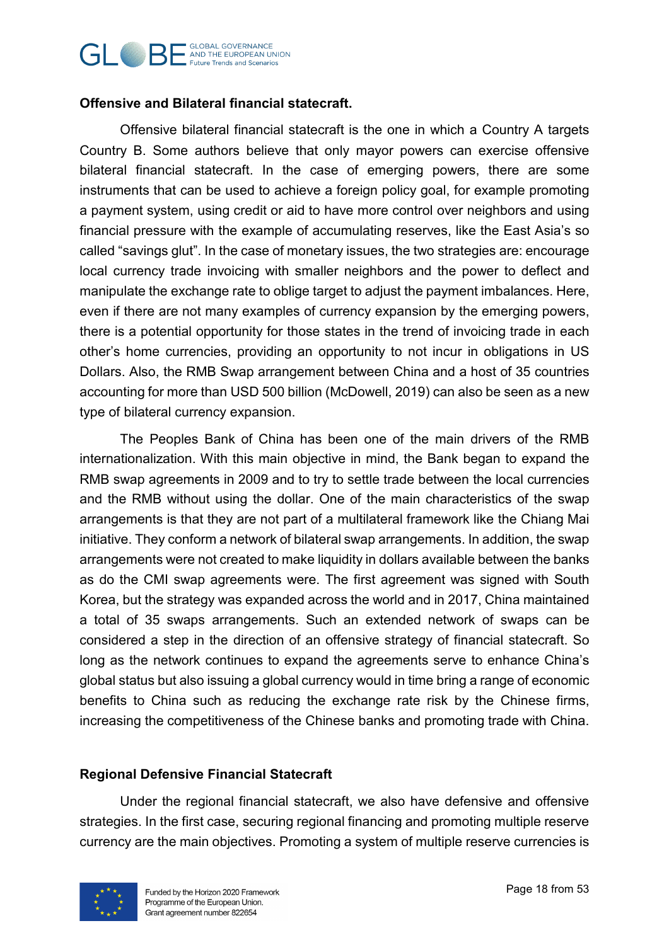#### **GLOBAL GOVERNANCE GUBAL GUBAL GOVERNANCE Future Trends and Scenarios**

## **Offensive and Bilateral financial statecraft.**

Offensive bilateral financial statecraft is the one in which a Country A targets Country B. Some authors believe that only mayor powers can exercise offensive bilateral financial statecraft. In the case of emerging powers, there are some instruments that can be used to achieve a foreign policy goal, for example promoting a payment system, using credit or aid to have more control over neighbors and using financial pressure with the example of accumulating reserves, like the East Asia's so called "savings glut". In the case of monetary issues, the two strategies are: encourage local currency trade invoicing with smaller neighbors and the power to deflect and manipulate the exchange rate to oblige target to adjust the payment imbalances. Here, even if there are not many examples of currency expansion by the emerging powers, there is a potential opportunity for those states in the trend of invoicing trade in each other's home currencies, providing an opportunity to not incur in obligations in US Dollars. Also, the RMB Swap arrangement between China and a host of 35 countries accounting for more than USD 500 billion (McDowell, 2019) can also be seen as a new type of bilateral currency expansion.

The Peoples Bank of China has been one of the main drivers of the RMB internationalization. With this main objective in mind, the Bank began to expand the RMB swap agreements in 2009 and to try to settle trade between the local currencies and the RMB without using the dollar. One of the main characteristics of the swap arrangements is that they are not part of a multilateral framework like the Chiang Mai initiative. They conform a network of bilateral swap arrangements. In addition, the swap arrangements were not created to make liquidity in dollars available between the banks as do the CMI swap agreements were. The first agreement was signed with South Korea, but the strategy was expanded across the world and in 2017, China maintained a total of 35 swaps arrangements. Such an extended network of swaps can be considered a step in the direction of an offensive strategy of financial statecraft. So long as the network continues to expand the agreements serve to enhance China's global status but also issuing a global currency would in time bring a range of economic benefits to China such as reducing the exchange rate risk by the Chinese firms, increasing the competitiveness of the Chinese banks and promoting trade with China.

## **Regional Defensive Financial Statecraft**

Under the regional financial statecraft, we also have defensive and offensive strategies. In the first case, securing regional financing and promoting multiple reserve currency are the main objectives. Promoting a system of multiple reserve currencies is

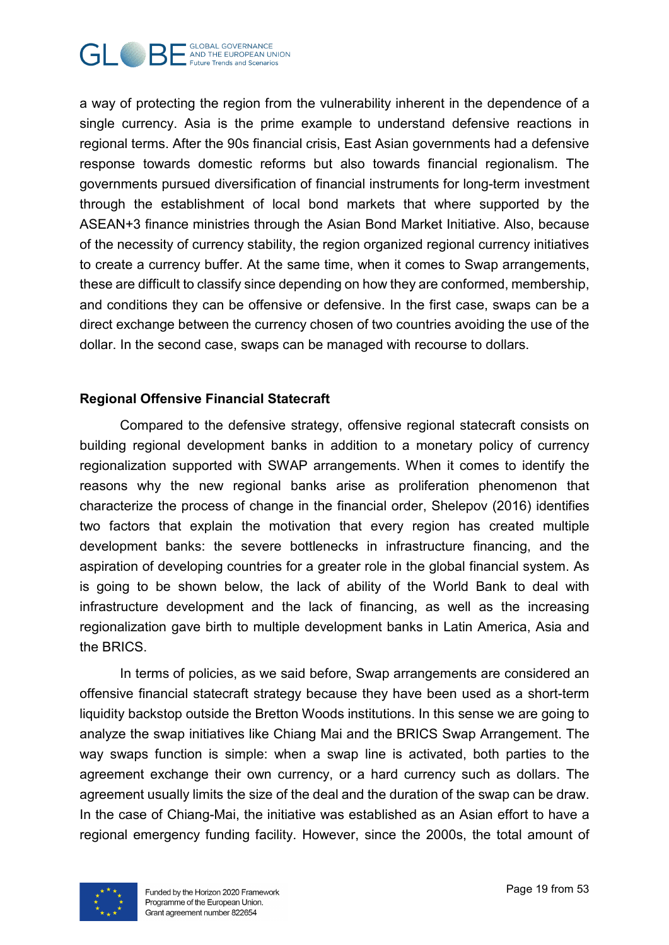

a way of protecting the region from the vulnerability inherent in the dependence of a single currency. Asia is the prime example to understand defensive reactions in regional terms. After the 90s financial crisis, East Asian governments had a defensive response towards domestic reforms but also towards financial regionalism. The governments pursued diversification of financial instruments for long-term investment through the establishment of local bond markets that where supported by the ASEAN+3 finance ministries through the Asian Bond Market Initiative. Also, because of the necessity of currency stability, the region organized regional currency initiatives to create a currency buffer. At the same time, when it comes to Swap arrangements, these are difficult to classify since depending on how they are conformed, membership, and conditions they can be offensive or defensive. In the first case, swaps can be a direct exchange between the currency chosen of two countries avoiding the use of the dollar. In the second case, swaps can be managed with recourse to dollars.

## **Regional Offensive Financial Statecraft**

Compared to the defensive strategy, offensive regional statecraft consists on building regional development banks in addition to a monetary policy of currency regionalization supported with SWAP arrangements. When it comes to identify the reasons why the new regional banks arise as proliferation phenomenon that characterize the process of change in the financial order, Shelepov (2016) identifies two factors that explain the motivation that every region has created multiple development banks: the severe bottlenecks in infrastructure financing, and the aspiration of developing countries for a greater role in the global financial system. As is going to be shown below, the lack of ability of the World Bank to deal with infrastructure development and the lack of financing, as well as the increasing regionalization gave birth to multiple development banks in Latin America, Asia and the BRICS.

In terms of policies, as we said before, Swap arrangements are considered an offensive financial statecraft strategy because they have been used as a short-term liquidity backstop outside the Bretton Woods institutions. In this sense we are going to analyze the swap initiatives like Chiang Mai and the BRICS Swap Arrangement. The way swaps function is simple: when a swap line is activated, both parties to the agreement exchange their own currency, or a hard currency such as dollars. The agreement usually limits the size of the deal and the duration of the swap can be draw. In the case of Chiang-Mai, the initiative was established as an Asian effort to have a regional emergency funding facility. However, since the 2000s, the total amount of

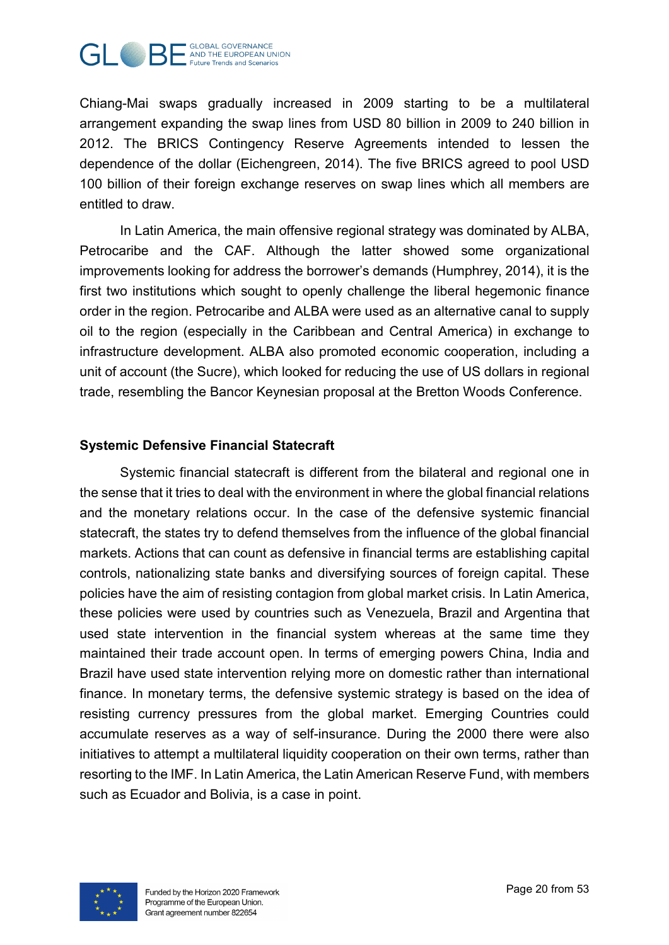

Chiang-Mai swaps gradually increased in 2009 starting to be a multilateral arrangement expanding the swap lines from USD 80 billion in 2009 to 240 billion in 2012. The BRICS Contingency Reserve Agreements intended to lessen the dependence of the dollar (Eichengreen, 2014). The five BRICS agreed to pool USD 100 billion of their foreign exchange reserves on swap lines which all members are entitled to draw.

In Latin America, the main offensive regional strategy was dominated by ALBA, Petrocaribe and the CAF. Although the latter showed some organizational improvements looking for address the borrower's demands (Humphrey, 2014), it is the first two institutions which sought to openly challenge the liberal hegemonic finance order in the region. Petrocaribe and ALBA were used as an alternative canal to supply oil to the region (especially in the Caribbean and Central America) in exchange to infrastructure development. ALBA also promoted economic cooperation, including a unit of account (the Sucre), which looked for reducing the use of US dollars in regional trade, resembling the Bancor Keynesian proposal at the Bretton Woods Conference.

## **Systemic Defensive Financial Statecraft**

Systemic financial statecraft is different from the bilateral and regional one in the sense that it tries to deal with the environment in where the global financial relations and the monetary relations occur. In the case of the defensive systemic financial statecraft, the states try to defend themselves from the influence of the global financial markets. Actions that can count as defensive in financial terms are establishing capital controls, nationalizing state banks and diversifying sources of foreign capital. These policies have the aim of resisting contagion from global market crisis. In Latin America, these policies were used by countries such as Venezuela, Brazil and Argentina that used state intervention in the financial system whereas at the same time they maintained their trade account open. In terms of emerging powers China, India and Brazil have used state intervention relying more on domestic rather than international finance. In monetary terms, the defensive systemic strategy is based on the idea of resisting currency pressures from the global market. Emerging Countries could accumulate reserves as a way of self-insurance. During the 2000 there were also initiatives to attempt a multilateral liquidity cooperation on their own terms, rather than resorting to the IMF. In Latin America, the Latin American Reserve Fund, with members such as Ecuador and Bolivia, is a case in point.

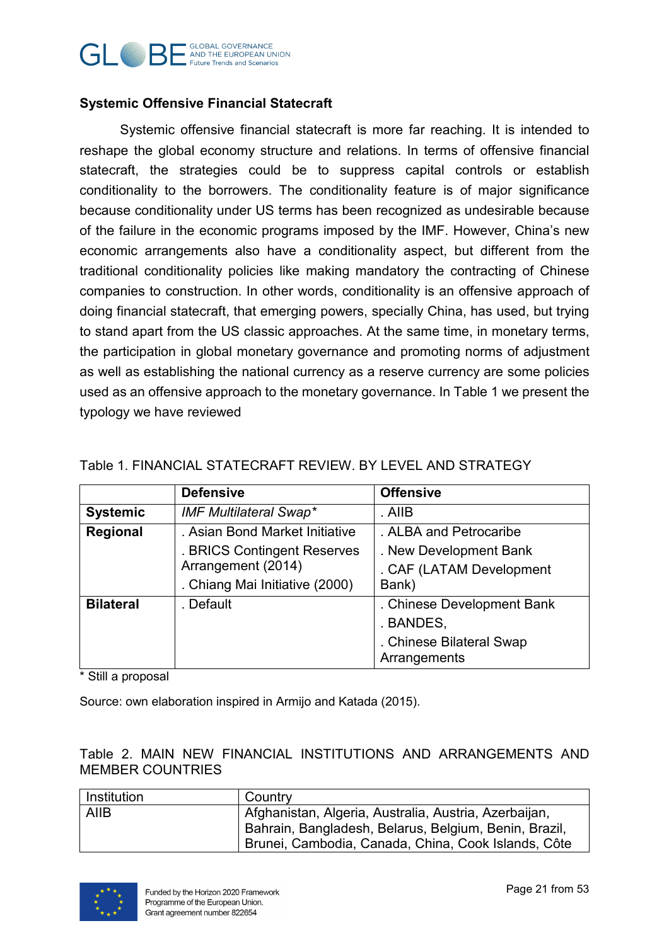

#### **Systemic Offensive Financial Statecraft**

Systemic offensive financial statecraft is more far reaching. It is intended to reshape the global economy structure and relations. In terms of offensive financial statecraft, the strategies could be to suppress capital controls or establish conditionality to the borrowers. The conditionality feature is of major significance because conditionality under US terms has been recognized as undesirable because of the failure in the economic programs imposed by the IMF. However, China's new economic arrangements also have a conditionality aspect, but different from the traditional conditionality policies like making mandatory the contracting of Chinese companies to construction. In other words, conditionality is an offensive approach of doing financial statecraft, that emerging powers, specially China, has used, but trying to stand apart from the US classic approaches. At the same time, in monetary terms, the participation in global monetary governance and promoting norms of adjustment as well as establishing the national currency as a reserve currency are some policies used as an offensive approach to the monetary governance. In Table 1 we present the typology we have reviewed

|                  | <b>Defensive</b>               | <b>Offensive</b>                         |
|------------------|--------------------------------|------------------------------------------|
| <b>Systemic</b>  | <b>IMF Multilateral Swap*</b>  | . AllB                                   |
| Regional         | . Asian Bond Market Initiative | . ALBA and Petrocaribe                   |
|                  | . BRICS Contingent Reserves    | . New Development Bank                   |
|                  | Arrangement (2014)             | . CAF (LATAM Development                 |
|                  | . Chiang Mai Initiative (2000) | Bank)                                    |
| <b>Bilateral</b> | . Default                      | . Chinese Development Bank               |
|                  |                                | . BANDES,                                |
|                  |                                | . Chinese Bilateral Swap<br>Arrangements |

#### <span id="page-20-0"></span>Table 1. FINANCIAL STATECRAFT REVIEW. BY LEVEL AND STRATEGY

\* Still a proposal

Source: own elaboration inspired in Armijo and Katada (2015).

#### <span id="page-20-1"></span>Table 2. MAIN NEW FINANCIAL INSTITUTIONS AND ARRANGEMENTS AND MEMBER COUNTRIES

| Institution | Country                                               |  |
|-------------|-------------------------------------------------------|--|
| <b>AIIB</b> | Afghanistan, Algeria, Australia, Austria, Azerbaijan, |  |
|             | Bahrain, Bangladesh, Belarus, Belgium, Benin, Brazil, |  |
|             | Brunei, Cambodia, Canada, China, Cook Islands, Côte   |  |

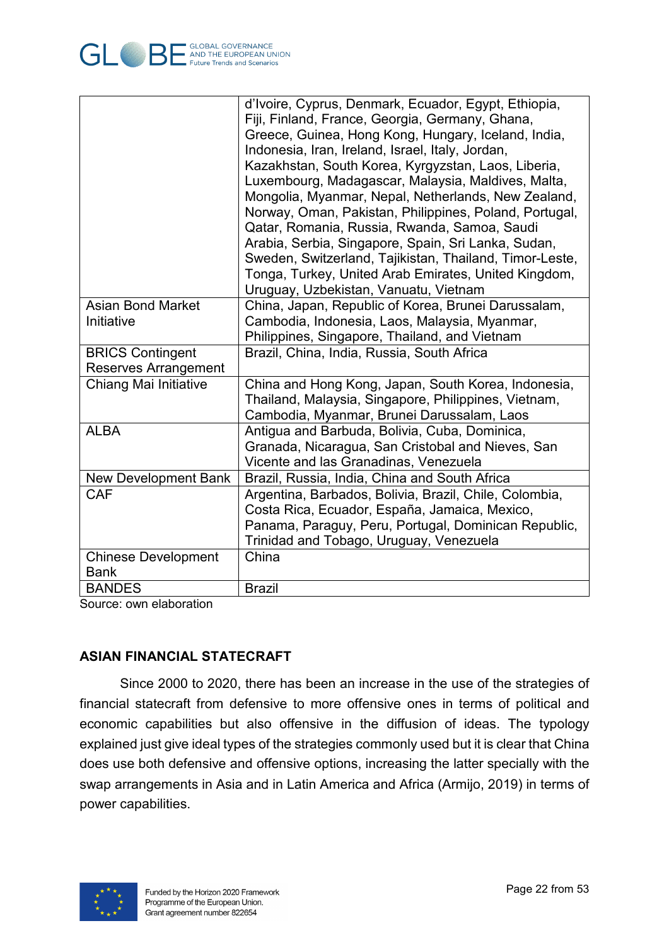

|                             | d'Ivoire, Cyprus, Denmark, Ecuador, Egypt, Ethiopia,    |  |
|-----------------------------|---------------------------------------------------------|--|
|                             | Fiji, Finland, France, Georgia, Germany, Ghana,         |  |
|                             | Greece, Guinea, Hong Kong, Hungary, Iceland, India,     |  |
|                             | Indonesia, Iran, Ireland, Israel, Italy, Jordan,        |  |
|                             | Kazakhstan, South Korea, Kyrgyzstan, Laos, Liberia,     |  |
|                             | Luxembourg, Madagascar, Malaysia, Maldives, Malta,      |  |
|                             | Mongolia, Myanmar, Nepal, Netherlands, New Zealand,     |  |
|                             | Norway, Oman, Pakistan, Philippines, Poland, Portugal,  |  |
|                             | Qatar, Romania, Russia, Rwanda, Samoa, Saudi            |  |
|                             | Arabia, Serbia, Singapore, Spain, Sri Lanka, Sudan,     |  |
|                             | Sweden, Switzerland, Tajikistan, Thailand, Timor-Leste, |  |
|                             | Tonga, Turkey, United Arab Emirates, United Kingdom,    |  |
|                             | Uruguay, Uzbekistan, Vanuatu, Vietnam                   |  |
| <b>Asian Bond Market</b>    | China, Japan, Republic of Korea, Brunei Darussalam,     |  |
| Initiative                  | Cambodia, Indonesia, Laos, Malaysia, Myanmar,           |  |
|                             | Philippines, Singapore, Thailand, and Vietnam           |  |
| <b>BRICS Contingent</b>     | Brazil, China, India, Russia, South Africa              |  |
| <b>Reserves Arrangement</b> |                                                         |  |
| Chiang Mai Initiative       | China and Hong Kong, Japan, South Korea, Indonesia,     |  |
|                             | Thailand, Malaysia, Singapore, Philippines, Vietnam,    |  |
|                             | Cambodia, Myanmar, Brunei Darussalam, Laos              |  |
| <b>ALBA</b>                 | Antigua and Barbuda, Bolivia, Cuba, Dominica,           |  |
|                             | Granada, Nicaragua, San Cristobal and Nieves, San       |  |
|                             | Vicente and las Granadinas, Venezuela                   |  |
| <b>New Development Bank</b> | Brazil, Russia, India, China and South Africa           |  |
| CAF                         | Argentina, Barbados, Bolivia, Brazil, Chile, Colombia,  |  |
|                             | Costa Rica, Ecuador, España, Jamaica, Mexico,           |  |
|                             | Panama, Paraguy, Peru, Portugal, Dominican Republic,    |  |
|                             | Trinidad and Tobago, Uruguay, Venezuela                 |  |
| <b>Chinese Development</b>  | China                                                   |  |
| Bank                        |                                                         |  |
| <b>BANDES</b>               | <b>Brazil</b>                                           |  |

Source: own elaboration

## <span id="page-21-0"></span>**ASIAN FINANCIAL STATECRAFT**

Since 2000 to 2020, there has been an increase in the use of the strategies of financial statecraft from defensive to more offensive ones in terms of political and economic capabilities but also offensive in the diffusion of ideas. The typology explained just give ideal types of the strategies commonly used but it is clear that China does use both defensive and offensive options, increasing the latter specially with the swap arrangements in Asia and in Latin America and Africa (Armijo, 2019) in terms of power capabilities.

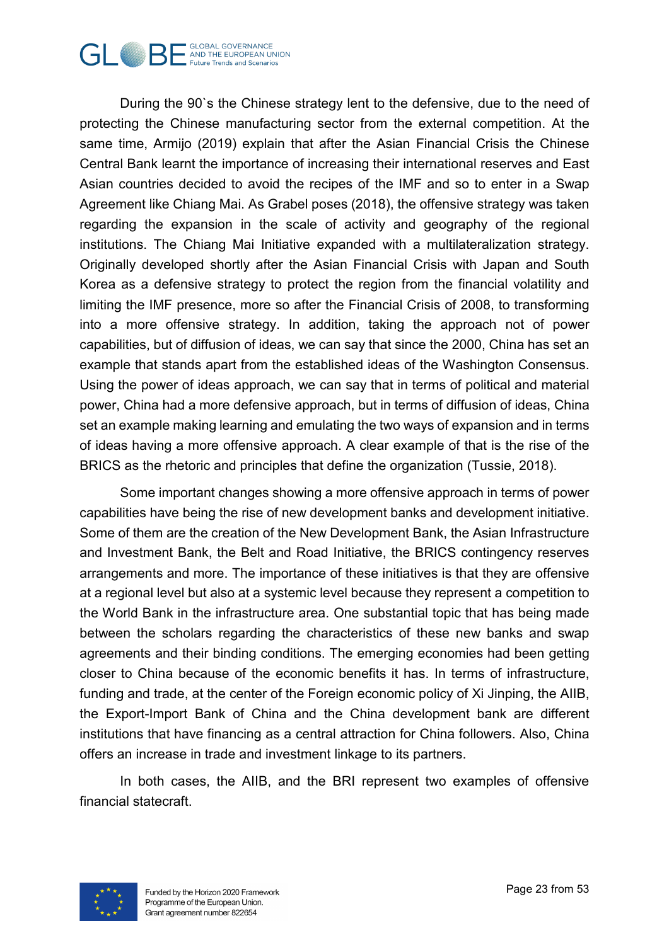

During the 90`s the Chinese strategy lent to the defensive, due to the need of protecting the Chinese manufacturing sector from the external competition. At the same time, Armijo (2019) explain that after the Asian Financial Crisis the Chinese Central Bank learnt the importance of increasing their international reserves and East Asian countries decided to avoid the recipes of the IMF and so to enter in a Swap Agreement like Chiang Mai. As Grabel poses (2018), the offensive strategy was taken regarding the expansion in the scale of activity and geography of the regional institutions. The Chiang Mai Initiative expanded with a multilateralization strategy. Originally developed shortly after the Asian Financial Crisis with Japan and South Korea as a defensive strategy to protect the region from the financial volatility and limiting the IMF presence, more so after the Financial Crisis of 2008, to transforming into a more offensive strategy. In addition, taking the approach not of power capabilities, but of diffusion of ideas, we can say that since the 2000, China has set an example that stands apart from the established ideas of the Washington Consensus. Using the power of ideas approach, we can say that in terms of political and material power, China had a more defensive approach, but in terms of diffusion of ideas, China set an example making learning and emulating the two ways of expansion and in terms of ideas having a more offensive approach. A clear example of that is the rise of the BRICS as the rhetoric and principles that define the organization (Tussie, 2018).

Some important changes showing a more offensive approach in terms of power capabilities have being the rise of new development banks and development initiative. Some of them are the creation of the New Development Bank, the Asian Infrastructure and Investment Bank, the Belt and Road Initiative, the BRICS contingency reserves arrangements and more. The importance of these initiatives is that they are offensive at a regional level but also at a systemic level because they represent a competition to the World Bank in the infrastructure area. One substantial topic that has being made between the scholars regarding the characteristics of these new banks and swap agreements and their binding conditions. The emerging economies had been getting closer to China because of the economic benefits it has. In terms of infrastructure, funding and trade, at the center of the Foreign economic policy of Xi Jinping, the AIIB, the Export-Import Bank of China and the China development bank are different institutions that have financing as a central attraction for China followers. Also, China offers an increase in trade and investment linkage to its partners.

In both cases, the AIIB, and the BRI represent two examples of offensive financial statecraft.

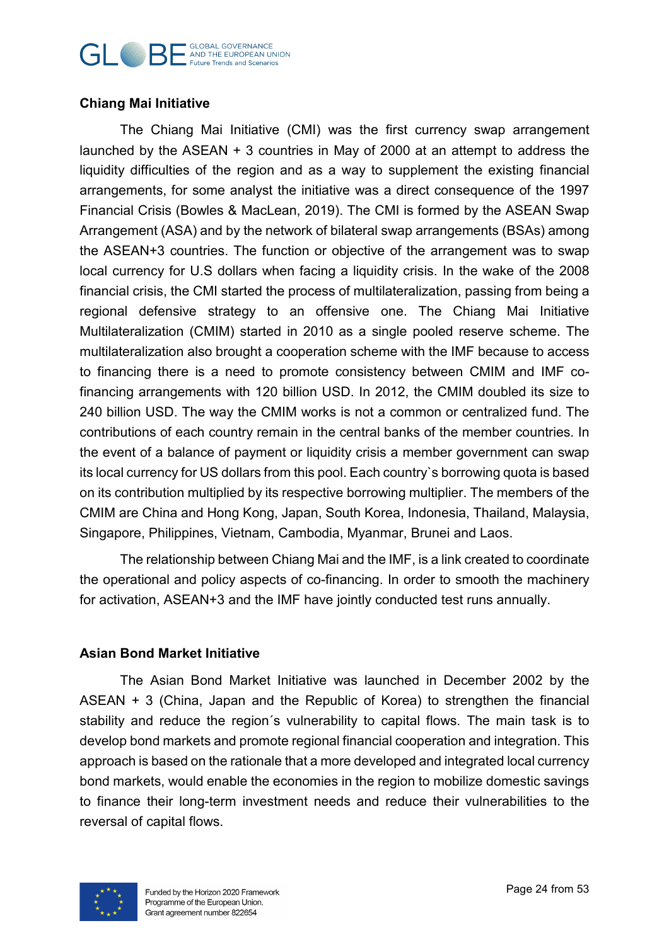#### **GLOBAL GOVERNANCE GILOBAL GOVERNANCE Future Trends and Scenarios**

## <span id="page-23-0"></span>**Chiang Mai Initiative**

The Chiang Mai Initiative (CMI) was the first currency swap arrangement launched by the ASEAN + 3 countries in May of 2000 at an attempt to address the liquidity difficulties of the region and as a way to supplement the existing financial arrangements, for some analyst the initiative was a direct consequence of the 1997 Financial Crisis (Bowles & MacLean, 2019). The CMI is formed by the ASEAN Swap Arrangement (ASA) and by the network of bilateral swap arrangements (BSAs) among the ASEAN+3 countries. The function or objective of the arrangement was to swap local currency for U.S dollars when facing a liquidity crisis. In the wake of the 2008 financial crisis, the CMI started the process of multilateralization, passing from being a regional defensive strategy to an offensive one. The Chiang Mai Initiative Multilateralization (CMIM) started in 2010 as a single pooled reserve scheme. The multilateralization also brought a cooperation scheme with the IMF because to access to financing there is a need to promote consistency between CMIM and IMF cofinancing arrangements with 120 billion USD. In 2012, the CMIM doubled its size to 240 billion USD. The way the CMIM works is not a common or centralized fund. The contributions of each country remain in the central banks of the member countries. In the event of a balance of payment or liquidity crisis a member government can swap its local currency for US dollars from this pool. Each country`s borrowing quota is based on its contribution multiplied by its respective borrowing multiplier. The members of the CMIM are China and Hong Kong, Japan, South Korea, Indonesia, Thailand, Malaysia, Singapore, Philippines, Vietnam, Cambodia, Myanmar, Brunei and Laos.

The relationship between Chiang Mai and the IMF, is a link created to coordinate the operational and policy aspects of co-financing. In order to smooth the machinery for activation, ASEAN+3 and the IMF have jointly conducted test runs annually.

## <span id="page-23-1"></span>**Asian Bond Market Initiative**

The Asian Bond Market Initiative was launched in December 2002 by the ASEAN + 3 (China, Japan and the Republic of Korea) to strengthen the financial stability and reduce the region´s vulnerability to capital flows. The main task is to develop bond markets and promote regional financial cooperation and integration. This approach is based on the rationale that a more developed and integrated local currency bond markets, would enable the economies in the region to mobilize domestic savings to finance their long-term investment needs and reduce their vulnerabilities to the reversal of capital flows.

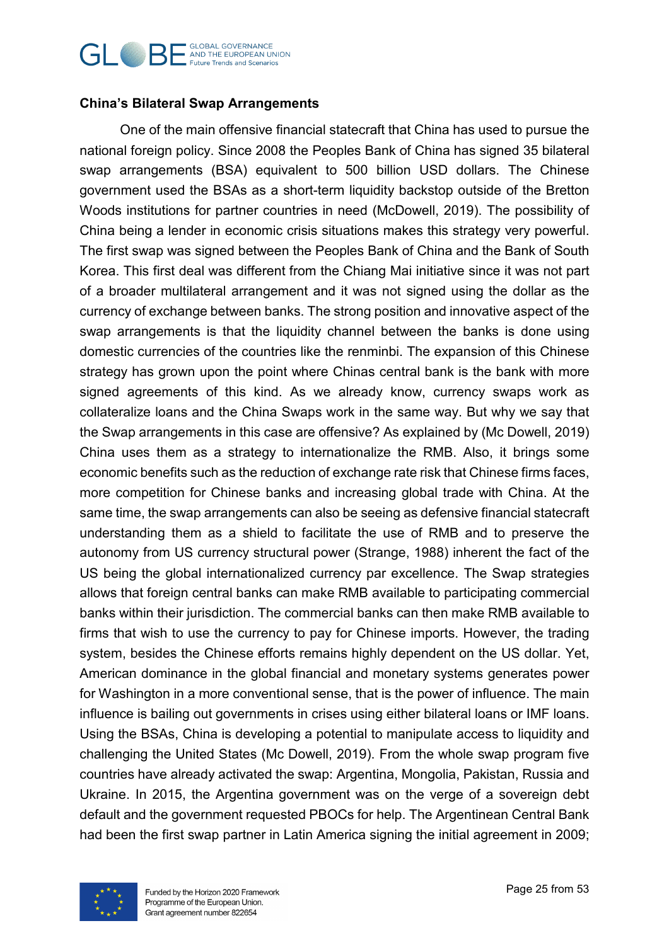#### **GLOBAL GOVERNANCE GLOBAL GOVERNANCE Future Trends and Scenarios**

## <span id="page-24-0"></span>**China's Bilateral Swap Arrangements**

One of the main offensive financial statecraft that China has used to pursue the national foreign policy. Since 2008 the Peoples Bank of China has signed 35 bilateral swap arrangements (BSA) equivalent to 500 billion USD dollars. The Chinese government used the BSAs as a short-term liquidity backstop outside of the Bretton Woods institutions for partner countries in need (McDowell, 2019). The possibility of China being a lender in economic crisis situations makes this strategy very powerful. The first swap was signed between the Peoples Bank of China and the Bank of South Korea. This first deal was different from the Chiang Mai initiative since it was not part of a broader multilateral arrangement and it was not signed using the dollar as the currency of exchange between banks. The strong position and innovative aspect of the swap arrangements is that the liquidity channel between the banks is done using domestic currencies of the countries like the renminbi. The expansion of this Chinese strategy has grown upon the point where Chinas central bank is the bank with more signed agreements of this kind. As we already know, currency swaps work as collateralize loans and the China Swaps work in the same way. But why we say that the Swap arrangements in this case are offensive? As explained by (Mc Dowell, 2019) China uses them as a strategy to internationalize the RMB. Also, it brings some economic benefits such as the reduction of exchange rate risk that Chinese firms faces, more competition for Chinese banks and increasing global trade with China. At the same time, the swap arrangements can also be seeing as defensive financial statecraft understanding them as a shield to facilitate the use of RMB and to preserve the autonomy from US currency structural power (Strange, 1988) inherent the fact of the US being the global internationalized currency par excellence. The Swap strategies allows that foreign central banks can make RMB available to participating commercial banks within their jurisdiction. The commercial banks can then make RMB available to firms that wish to use the currency to pay for Chinese imports. However, the trading system, besides the Chinese efforts remains highly dependent on the US dollar. Yet, American dominance in the global financial and monetary systems generates power for Washington in a more conventional sense, that is the power of influence. The main influence is bailing out governments in crises using either bilateral loans or IMF loans. Using the BSAs, China is developing a potential to manipulate access to liquidity and challenging the United States (Mc Dowell, 2019). From the whole swap program five countries have already activated the swap: Argentina, Mongolia, Pakistan, Russia and Ukraine. In 2015, the Argentina government was on the verge of a sovereign debt default and the government requested PBOCs for help. The Argentinean Central Bank had been the first swap partner in Latin America signing the initial agreement in 2009;

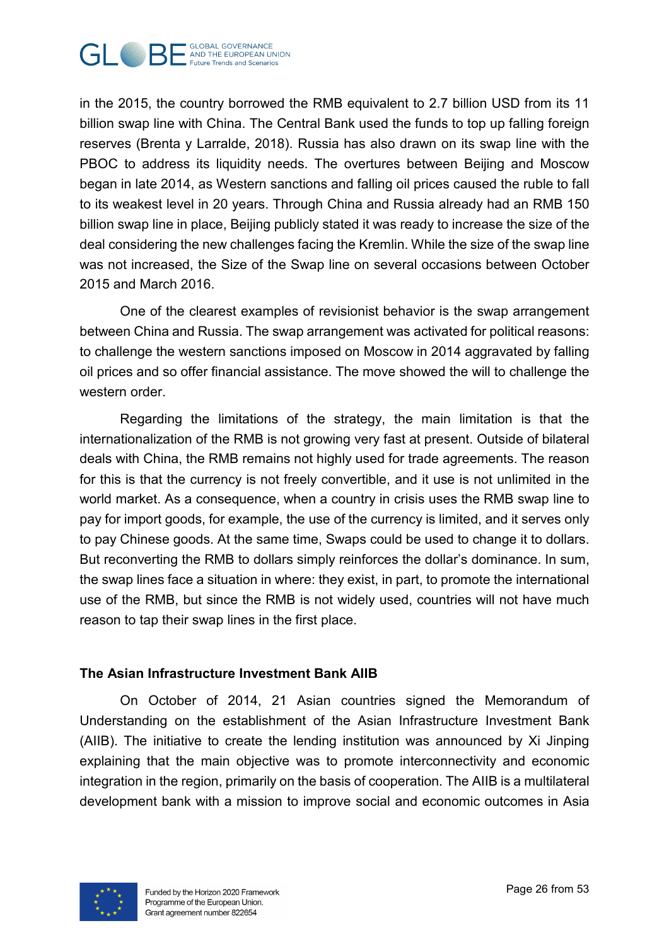

in the 2015, the country borrowed the RMB equivalent to 2.7 billion USD from its 11 billion swap line with China. The Central Bank used the funds to top up falling foreign reserves (Brenta y Larralde, 2018). Russia has also drawn on its swap line with the PBOC to address its liquidity needs. The overtures between Beijing and Moscow began in late 2014, as Western sanctions and falling oil prices caused the ruble to fall to its weakest level in 20 years. Through China and Russia already had an RMB 150 billion swap line in place, Beijing publicly stated it was ready to increase the size of the deal considering the new challenges facing the Kremlin. While the size of the swap line was not increased, the Size of the Swap line on several occasions between October 2015 and March 2016.

One of the clearest examples of revisionist behavior is the swap arrangement between China and Russia. The swap arrangement was activated for political reasons: to challenge the western sanctions imposed on Moscow in 2014 aggravated by falling oil prices and so offer financial assistance. The move showed the will to challenge the western order.

Regarding the limitations of the strategy, the main limitation is that the internationalization of the RMB is not growing very fast at present. Outside of bilateral deals with China, the RMB remains not highly used for trade agreements. The reason for this is that the currency is not freely convertible, and it use is not unlimited in the world market. As a consequence, when a country in crisis uses the RMB swap line to pay for import goods, for example, the use of the currency is limited, and it serves only to pay Chinese goods. At the same time, Swaps could be used to change it to dollars. But reconverting the RMB to dollars simply reinforces the dollar's dominance. In sum, the swap lines face a situation in where: they exist, in part, to promote the international use of the RMB, but since the RMB is not widely used, countries will not have much reason to tap their swap lines in the first place.

#### <span id="page-25-0"></span>**The Asian Infrastructure Investment Bank AIIB**

On October of 2014, 21 Asian countries signed the Memorandum of Understanding on the establishment of the Asian Infrastructure Investment Bank (AIIB). The initiative to create the lending institution was announced by Xi Jinping explaining that the main objective was to promote interconnectivity and economic integration in the region, primarily on the basis of cooperation. The AIIB is a multilateral development bank with a mission to improve social and economic outcomes in Asia

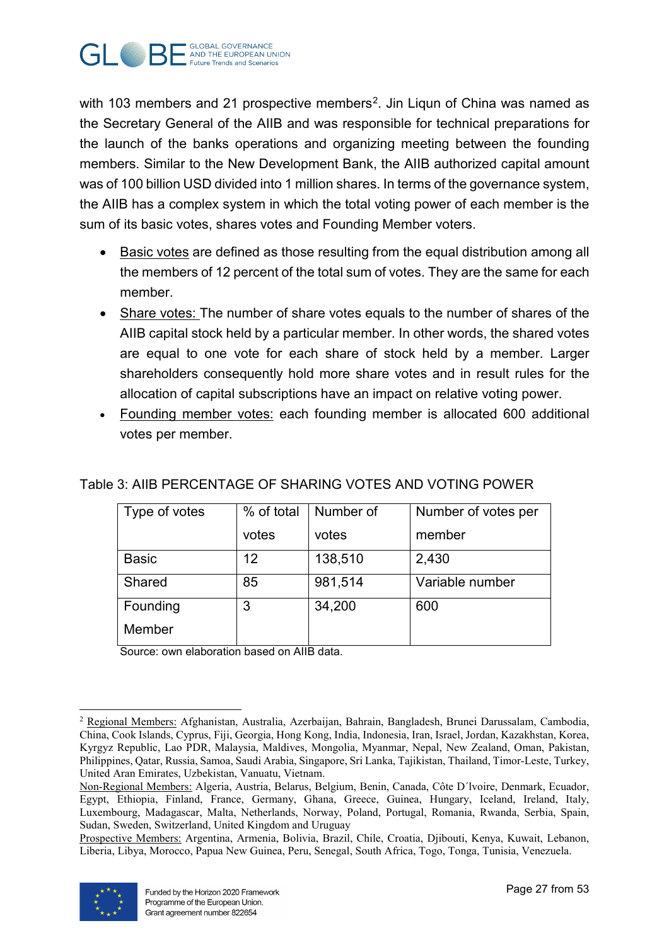

with 103 members and [2](#page-26-1)1 prospective members<sup>2</sup>. Jin Liqun of China was named as the Secretary General of the AIIB and was responsible for technical preparations for the launch of the banks operations and organizing meeting between the founding members. Similar to the New Development Bank, the AIIB authorized capital amount was of 100 billion USD divided into 1 million shares. In terms of the governance system, the AIIB has a complex system in which the total voting power of each member is the sum of its basic votes, shares votes and Founding Member voters.

- Basic votes are defined as those resulting from the equal distribution among all the members of 12 percent of the total sum of votes. They are the same for each member.
- Share votes: The number of share votes equals to the number of shares of the AIIB capital stock held by a particular member. In other words, the shared votes are equal to one vote for each share of stock held by a member. Larger shareholders consequently hold more share votes and in result rules for the allocation of capital subscriptions have an impact on relative voting power.
- Founding member votes: each founding member is allocated 600 additional votes per member.

| Type of votes | % of total | Number of | Number of votes per |
|---------------|------------|-----------|---------------------|
|               | votes      | votes     | member              |
| <b>Basic</b>  | 12         | 138,510   | 2,430               |
| Shared        | 85         | 981,514   | Variable number     |
| Founding      | 3          | 34,200    | 600                 |
| Member        |            |           |                     |

## <span id="page-26-0"></span>Table 3: AIIB PERCENTAGE OF SHARING VOTES AND VOTING POWER

Source: own elaboration based on AIIB data.

Prospective Members: Argentina, Armenia, Bolivia, Brazil, Chile, Croatia, Djibouti, Kenya, Kuwait, Lebanon, Liberia, Libya, Morocco, Papua New Guinea, Peru, Senegal, South Africa, Togo, Tonga, Tunisia, Venezuela.



<span id="page-26-1"></span><sup>-</sup><sup>2</sup> Regional Members: Afghanistan, Australia, Azerbaijan, Bahrain, Bangladesh, Brunei Darussalam, Cambodia, China, Cook Islands, Cyprus, Fiji, Georgia, Hong Kong, India, Indonesia, Iran, Israel, Jordan, Kazakhstan, Korea, Kyrgyz Republic, Lao PDR, Malaysia, Maldives, Mongolia, Myanmar, Nepal, New Zealand, Oman, Pakistan, Philippines, Qatar, Russia, Samoa, Saudi Arabia, Singapore, Sri Lanka, Tajikistan, Thailand, Timor-Leste, Turkey, United Aran Emirates, Uzbekistan, Vanuatu, Vietnam.

Non-Regional Members: Algeria, Austria, Belarus, Belgium, Benin, Canada, Côte D´lvoire, Denmark, Ecuador, Egypt, Ethiopia, Finland, France, Germany, Ghana, Greece, Guinea, Hungary, Iceland, Ireland, Italy, Luxembourg, Madagascar, Malta, Netherlands, Norway, Poland, Portugal, Romania, Rwanda, Serbia, Spain, Sudan, Sweden, Switzerland, United Kingdom and Uruguay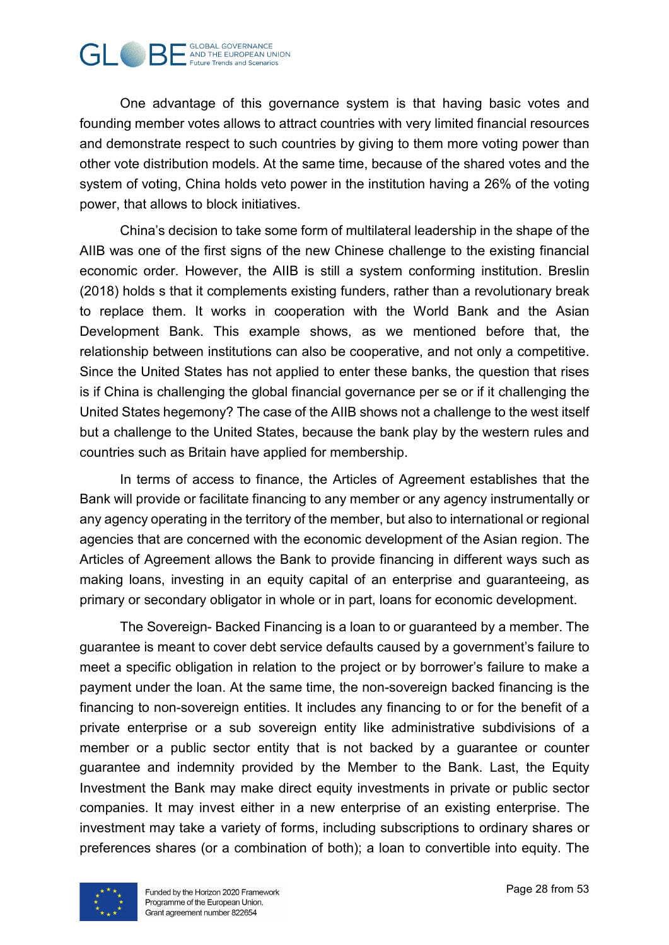

One advantage of this governance system is that having basic votes and founding member votes allows to attract countries with very limited financial resources and demonstrate respect to such countries by giving to them more voting power than other vote distribution models. At the same time, because of the shared votes and the system of voting, China holds veto power in the institution having a 26% of the voting power, that allows to block initiatives.

China's decision to take some form of multilateral leadership in the shape of the AIIB was one of the first signs of the new Chinese challenge to the existing financial economic order. However, the AIIB is still a system conforming institution. Breslin (2018) holds s that it complements existing funders, rather than a revolutionary break to replace them. It works in cooperation with the World Bank and the Asian Development Bank. This example shows, as we mentioned before that, the relationship between institutions can also be cooperative, and not only a competitive. Since the United States has not applied to enter these banks, the question that rises is if China is challenging the global financial governance per se or if it challenging the United States hegemony? The case of the AIIB shows not a challenge to the west itself but a challenge to the United States, because the bank play by the western rules and countries such as Britain have applied for membership.

In terms of access to finance, the Articles of Agreement establishes that the Bank will provide or facilitate financing to any member or any agency instrumentally or any agency operating in the territory of the member, but also to international or regional agencies that are concerned with the economic development of the Asian region. The Articles of Agreement allows the Bank to provide financing in different ways such as making loans, investing in an equity capital of an enterprise and guaranteeing, as primary or secondary obligator in whole or in part, loans for economic development.

The Sovereign- Backed Financing is a loan to or guaranteed by a member. The guarantee is meant to cover debt service defaults caused by a government's failure to meet a specific obligation in relation to the project or by borrower's failure to make a payment under the loan. At the same time, the non-sovereign backed financing is the financing to non-sovereign entities. It includes any financing to or for the benefit of a private enterprise or a sub sovereign entity like administrative subdivisions of a member or a public sector entity that is not backed by a guarantee or counter guarantee and indemnity provided by the Member to the Bank. Last, the Equity Investment the Bank may make direct equity investments in private or public sector companies. It may invest either in a new enterprise of an existing enterprise. The investment may take a variety of forms, including subscriptions to ordinary shares or preferences shares (or a combination of both); a loan to convertible into equity. The

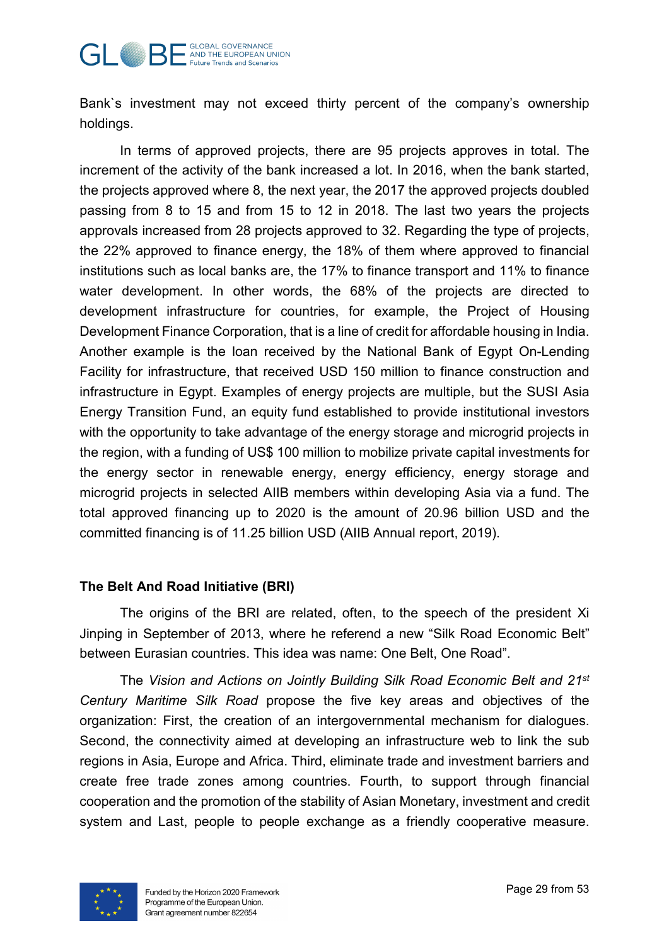#### **GLOBAL GOVERNANCE GLOBAL GOVERNANCE Future Trends and Scenarios**

Bank`s investment may not exceed thirty percent of the company's ownership holdings.

In terms of approved projects, there are 95 projects approves in total. The increment of the activity of the bank increased a lot. In 2016, when the bank started, the projects approved where 8, the next year, the 2017 the approved projects doubled passing from 8 to 15 and from 15 to 12 in 2018. The last two years the projects approvals increased from 28 projects approved to 32. Regarding the type of projects, the 22% approved to finance energy, the 18% of them where approved to financial institutions such as local banks are, the 17% to finance transport and 11% to finance water development. In other words, the 68% of the projects are directed to development infrastructure for countries, for example, the Project of Housing Development Finance Corporation, that is a line of credit for affordable housing in India. Another example is the loan received by the National Bank of Egypt On-Lending Facility for infrastructure, that received USD 150 million to finance construction and infrastructure in Egypt. Examples of energy projects are multiple, but the SUSI Asia Energy Transition Fund, an equity fund established to provide institutional investors with the opportunity to take advantage of the energy storage and microgrid projects in the region, with a funding of US\$ 100 million to mobilize private capital investments for the energy sector in renewable energy, energy efficiency, energy storage and microgrid projects in selected AIIB members within developing Asia via a fund. The total approved financing up to 2020 is the amount of 20.96 billion USD and the committed financing is of 11.25 billion USD (AIIB Annual report, 2019).

## <span id="page-28-0"></span>**The Belt And Road Initiative (BRI)**

The origins of the BRI are related, often, to the speech of the president Xi Jinping in September of 2013, where he referend a new "Silk Road Economic Belt" between Eurasian countries. This idea was name: One Belt, One Road".

The *Vision and Actions on Jointly Building Silk Road Economic Belt and 21st Century Maritime Silk Road* propose the five key areas and objectives of the organization: First, the creation of an intergovernmental mechanism for dialogues. Second, the connectivity aimed at developing an infrastructure web to link the sub regions in Asia, Europe and Africa. Third, eliminate trade and investment barriers and create free trade zones among countries. Fourth, to support through financial cooperation and the promotion of the stability of Asian Monetary, investment and credit system and Last, people to people exchange as a friendly cooperative measure.

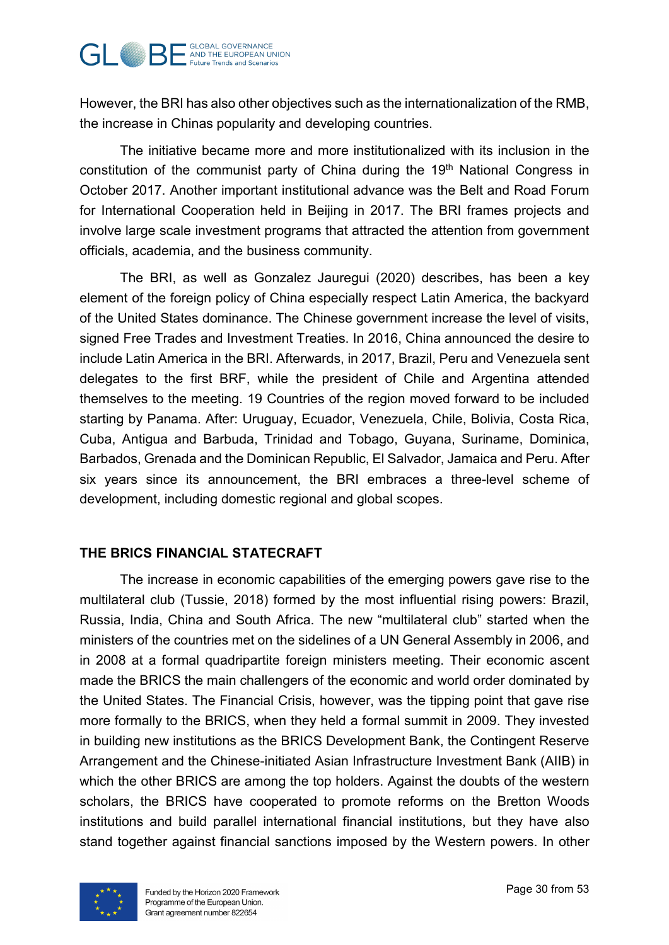

However, the BRI has also other objectives such as the internationalization of the RMB, the increase in Chinas popularity and developing countries.

The initiative became more and more institutionalized with its inclusion in the constitution of the communist party of China during the 19<sup>th</sup> National Congress in October 2017. Another important institutional advance was the Belt and Road Forum for International Cooperation held in Beijing in 2017. The BRI frames projects and involve large scale investment programs that attracted the attention from government officials, academia, and the business community.

The BRI, as well as Gonzalez Jauregui (2020) describes, has been a key element of the foreign policy of China especially respect Latin America, the backyard of the United States dominance. The Chinese government increase the level of visits, signed Free Trades and Investment Treaties. In 2016, China announced the desire to include Latin America in the BRI. Afterwards, in 2017, Brazil, Peru and Venezuela sent delegates to the first BRF, while the president of Chile and Argentina attended themselves to the meeting. 19 Countries of the region moved forward to be included starting by Panama. After: Uruguay, Ecuador, Venezuela, Chile, Bolivia, Costa Rica, Cuba, Antigua and Barbuda, Trinidad and Tobago, Guyana, Suriname, Dominica, Barbados, Grenada and the Dominican Republic, El Salvador, Jamaica and Peru. After six years since its announcement, the BRI embraces a three-level scheme of development, including domestic regional and global scopes.

## <span id="page-29-0"></span>**THE BRICS FINANCIAL STATECRAFT**

The increase in economic capabilities of the emerging powers gave rise to the multilateral club (Tussie, 2018) formed by the most influential rising powers: Brazil, Russia, India, China and South Africa. The new "multilateral club" started when the ministers of the countries met on the sidelines of a UN General Assembly in 2006, and in 2008 at a formal quadripartite foreign ministers meeting. Their economic ascent made the BRICS the main challengers of the economic and world order dominated by the United States. The Financial Crisis, however, was the tipping point that gave rise more formally to the BRICS, when they held a formal summit in 2009. They invested in building new institutions as the BRICS Development Bank, the Contingent Reserve Arrangement and the Chinese-initiated Asian Infrastructure Investment Bank (AIIB) in which the other BRICS are among the top holders. Against the doubts of the western scholars, the BRICS have cooperated to promote reforms on the Bretton Woods institutions and build parallel international financial institutions, but they have also stand together against financial sanctions imposed by the Western powers. In other

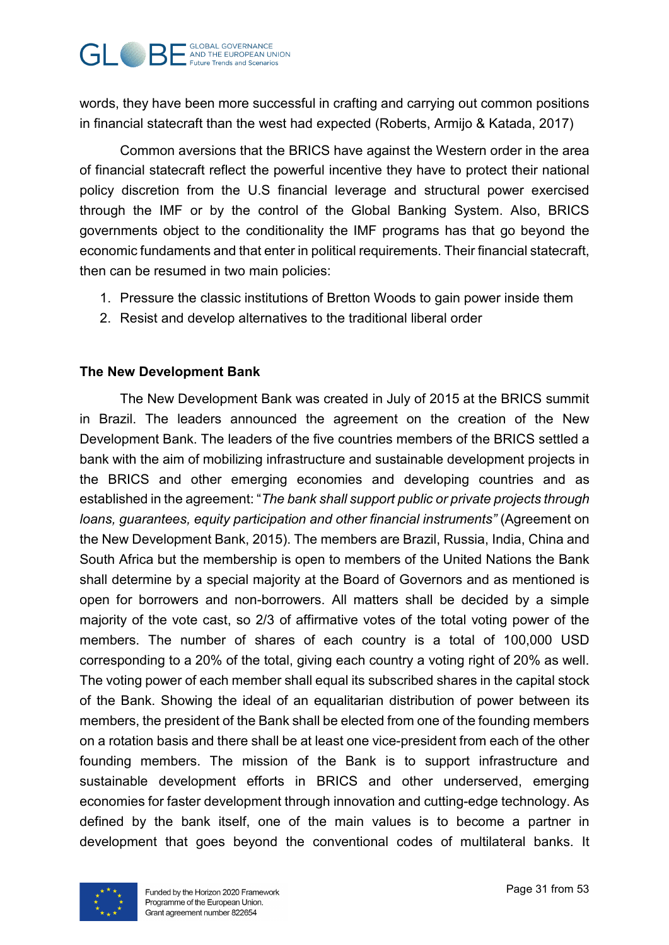

words, they have been more successful in crafting and carrying out common positions in financial statecraft than the west had expected (Roberts, Armijo & Katada, 2017)

Common aversions that the BRICS have against the Western order in the area of financial statecraft reflect the powerful incentive they have to protect their national policy discretion from the U.S financial leverage and structural power exercised through the IMF or by the control of the Global Banking System. Also, BRICS governments object to the conditionality the IMF programs has that go beyond the economic fundaments and that enter in political requirements. Their financial statecraft, then can be resumed in two main policies:

- 1. Pressure the classic institutions of Bretton Woods to gain power inside them
- 2. Resist and develop alternatives to the traditional liberal order

## <span id="page-30-0"></span>**The New Development Bank**

The New Development Bank was created in July of 2015 at the BRICS summit in Brazil. The leaders announced the agreement on the creation of the New Development Bank. The leaders of the five countries members of the BRICS settled a bank with the aim of mobilizing infrastructure and sustainable development projects in the BRICS and other emerging economies and developing countries and as established in the agreement: "*The bank shall support public or private projects through loans, guarantees, equity participation and other financial instruments"* (Agreement on the New Development Bank, 2015). The members are Brazil, Russia, India, China and South Africa but the membership is open to members of the United Nations the Bank shall determine by a special majority at the Board of Governors and as mentioned is open for borrowers and non-borrowers. All matters shall be decided by a simple majority of the vote cast, so 2/3 of affirmative votes of the total voting power of the members. The number of shares of each country is a total of 100,000 USD corresponding to a 20% of the total, giving each country a voting right of 20% as well. The voting power of each member shall equal its subscribed shares in the capital stock of the Bank. Showing the ideal of an equalitarian distribution of power between its members, the president of the Bank shall be elected from one of the founding members on a rotation basis and there shall be at least one vice-president from each of the other founding members. The mission of the Bank is to support infrastructure and sustainable development efforts in BRICS and other underserved, emerging economies for faster development through innovation and cutting-edge technology. As defined by the bank itself, one of the main values is to become a partner in development that goes beyond the conventional codes of multilateral banks. It

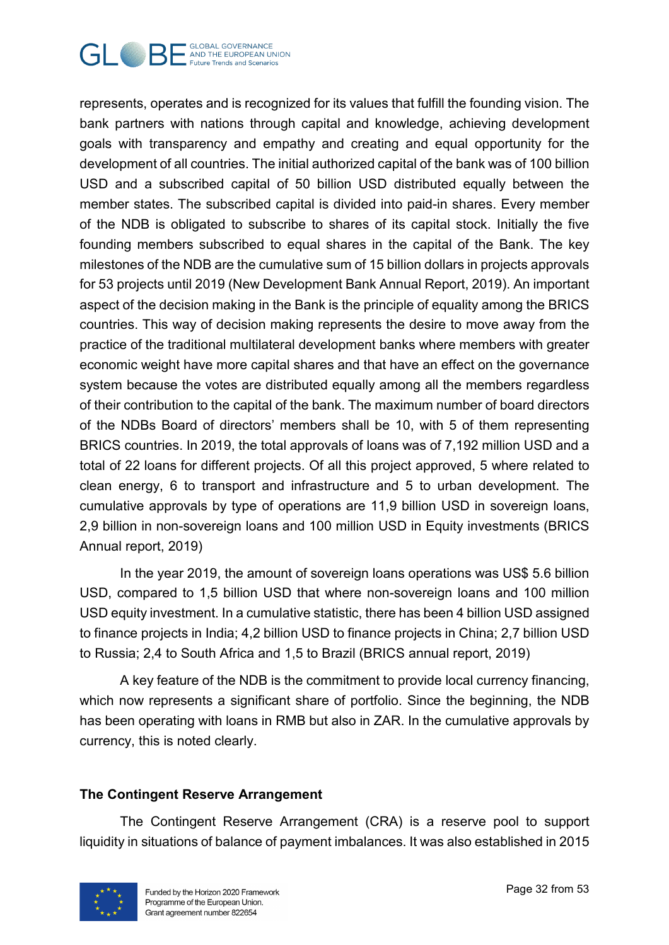

represents, operates and is recognized for its values that fulfill the founding vision. The bank partners with nations through capital and knowledge, achieving development goals with transparency and empathy and creating and equal opportunity for the development of all countries. The initial authorized capital of the bank was of 100 billion USD and a subscribed capital of 50 billion USD distributed equally between the member states. The subscribed capital is divided into paid-in shares. Every member of the NDB is obligated to subscribe to shares of its capital stock. Initially the five founding members subscribed to equal shares in the capital of the Bank. The key milestones of the NDB are the cumulative sum of 15 billion dollars in projects approvals for 53 projects until 2019 (New Development Bank Annual Report, 2019). An important aspect of the decision making in the Bank is the principle of equality among the BRICS countries. This way of decision making represents the desire to move away from the practice of the traditional multilateral development banks where members with greater economic weight have more capital shares and that have an effect on the governance system because the votes are distributed equally among all the members regardless of their contribution to the capital of the bank. The maximum number of board directors of the NDBs Board of directors' members shall be 10, with 5 of them representing BRICS countries. In 2019, the total approvals of loans was of 7,192 million USD and a total of 22 loans for different projects. Of all this project approved, 5 where related to clean energy, 6 to transport and infrastructure and 5 to urban development. The cumulative approvals by type of operations are 11,9 billion USD in sovereign loans, 2,9 billion in non-sovereign loans and 100 million USD in Equity investments (BRICS Annual report, 2019)

In the year 2019, the amount of sovereign loans operations was US\$ 5.6 billion USD, compared to 1,5 billion USD that where non-sovereign loans and 100 million USD equity investment. In a cumulative statistic, there has been 4 billion USD assigned to finance projects in India; 4,2 billion USD to finance projects in China; 2,7 billion USD to Russia; 2,4 to South Africa and 1,5 to Brazil (BRICS annual report, 2019)

A key feature of the NDB is the commitment to provide local currency financing, which now represents a significant share of portfolio. Since the beginning, the NDB has been operating with loans in RMB but also in ZAR. In the cumulative approvals by currency, this is noted clearly.

## <span id="page-31-0"></span>**The Contingent Reserve Arrangement**

The Contingent Reserve Arrangement (CRA) is a reserve pool to support liquidity in situations of balance of payment imbalances. It was also established in 2015

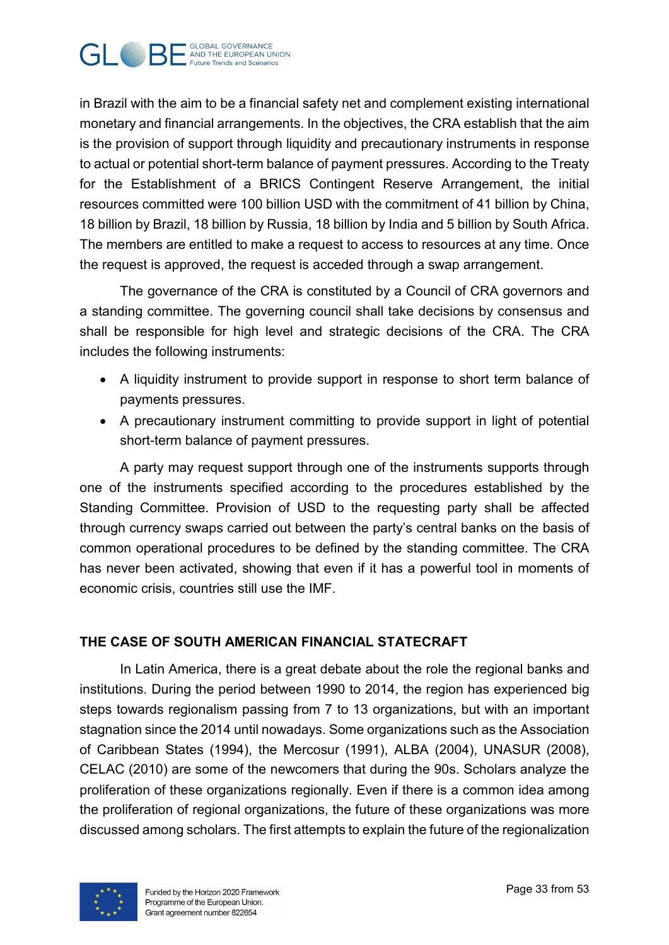

in Brazil with the aim to be a financial safety net and complement existing international monetary and financial arrangements. In the objectives, the CRA establish that the aim is the provision of support through liquidity and precautionary instruments in response to actual or potential short-term balance of payment pressures. According to the Treaty for the Establishment of a BRICS Contingent Reserve Arrangement, the initial resources committed were 100 billion USD with the commitment of 41 billion by China, 18 billion by Brazil, 18 billion by Russia, 18 billion by India and 5 billion by South Africa. The members are entitled to make a request to access to resources at any time. Once the request is approved, the request is acceded through a swap arrangement.

The governance of the CRA is constituted by a Council of CRA governors and a standing committee. The governing council shall take decisions by consensus and shall be responsible for high level and strategic decisions of the CRA. The CRA includes the following instruments:

- A liquidity instrument to provide support in response to short term balance of payments pressures.
- A precautionary instrument committing to provide support in light of potential short-term balance of payment pressures.

A party may request support through one of the instruments supports through one of the instruments specified according to the procedures established by the Standing Committee. Provision of USD to the requesting party shall be affected through currency swaps carried out between the party's central banks on the basis of common operational procedures to be defined by the standing committee. The CRA has never been activated, showing that even if it has a powerful tool in moments of economic crisis, countries still use the IMF.

## <span id="page-32-0"></span>**THE CASE OF SOUTH AMERICAN FINANCIAL STATECRAFT**

In Latin America, there is a great debate about the role the regional banks and institutions. During the period between 1990 to 2014, the region has experienced big steps towards regionalism passing from 7 to 13 organizations, but with an important stagnation since the 2014 until nowadays. Some organizations such as the Association of Caribbean States (1994), the Mercosur (1991), ALBA (2004), UNASUR (2008), CELAC (2010) are some of the newcomers that during the 90s. Scholars analyze the proliferation of these organizations regionally. Even if there is a common idea among the proliferation of regional organizations, the future of these organizations was more discussed among scholars. The first attempts to explain the future of the regionalization

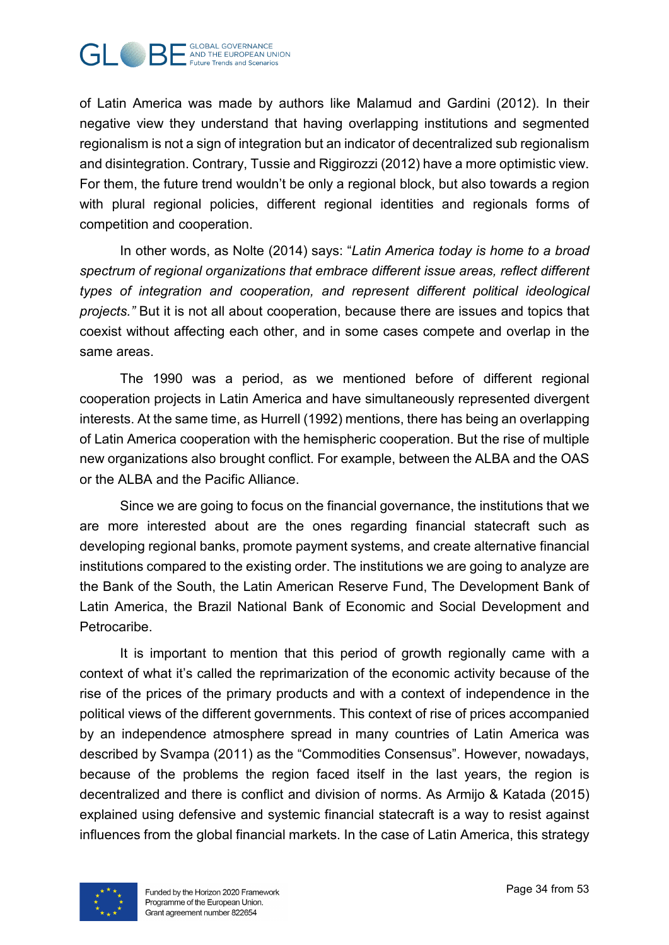

of Latin America was made by authors like Malamud and Gardini (2012). In their negative view they understand that having overlapping institutions and segmented regionalism is not a sign of integration but an indicator of decentralized sub regionalism and disintegration. Contrary, Tussie and Riggirozzi (2012) have a more optimistic view. For them, the future trend wouldn't be only a regional block, but also towards a region with plural regional policies, different regional identities and regionals forms of competition and cooperation.

In other words, as Nolte (2014) says: "*Latin America today is home to a broad spectrum of regional organizations that embrace different issue areas, reflect different types of integration and cooperation, and represent different political ideological projects."* But it is not all about cooperation, because there are issues and topics that coexist without affecting each other, and in some cases compete and overlap in the same areas.

The 1990 was a period, as we mentioned before of different regional cooperation projects in Latin America and have simultaneously represented divergent interests. At the same time, as Hurrell (1992) mentions, there has being an overlapping of Latin America cooperation with the hemispheric cooperation. But the rise of multiple new organizations also brought conflict. For example, between the ALBA and the OAS or the ALBA and the Pacific Alliance.

Since we are going to focus on the financial governance, the institutions that we are more interested about are the ones regarding financial statecraft such as developing regional banks, promote payment systems, and create alternative financial institutions compared to the existing order. The institutions we are going to analyze are the Bank of the South, the Latin American Reserve Fund, The Development Bank of Latin America, the Brazil National Bank of Economic and Social Development and Petrocaribe.

It is important to mention that this period of growth regionally came with a context of what it's called the reprimarization of the economic activity because of the rise of the prices of the primary products and with a context of independence in the political views of the different governments. This context of rise of prices accompanied by an independence atmosphere spread in many countries of Latin America was described by Svampa (2011) as the "Commodities Consensus". However, nowadays, because of the problems the region faced itself in the last years, the region is decentralized and there is conflict and division of norms. As Armijo & Katada (2015) explained using defensive and systemic financial statecraft is a way to resist against influences from the global financial markets. In the case of Latin America, this strategy

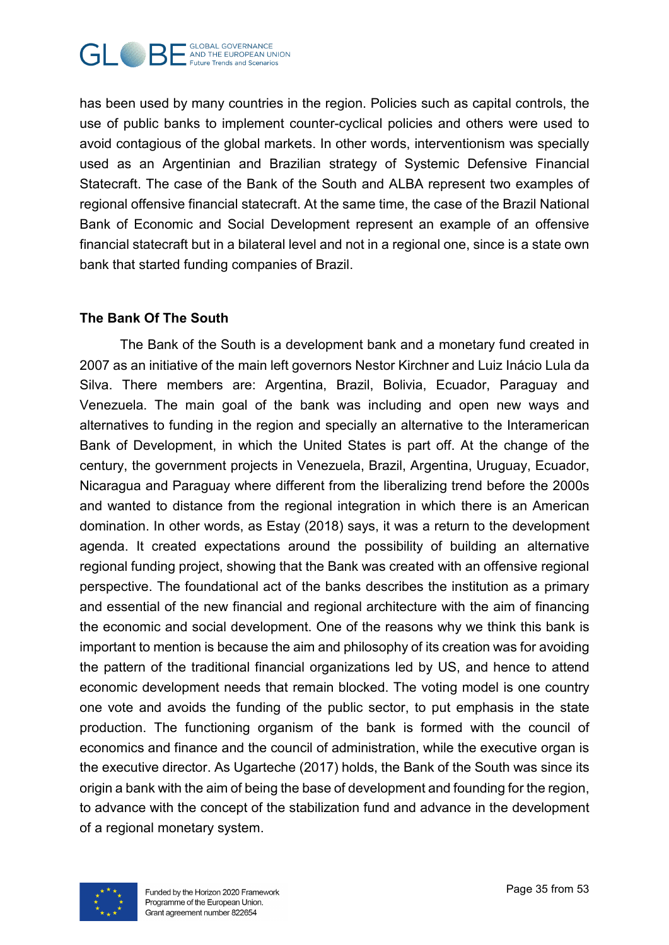

has been used by many countries in the region. Policies such as capital controls, the use of public banks to implement counter-cyclical policies and others were used to avoid contagious of the global markets. In other words, interventionism was specially used as an Argentinian and Brazilian strategy of Systemic Defensive Financial Statecraft. The case of the Bank of the South and ALBA represent two examples of regional offensive financial statecraft. At the same time, the case of the Brazil National Bank of Economic and Social Development represent an example of an offensive financial statecraft but in a bilateral level and not in a regional one, since is a state own bank that started funding companies of Brazil.

## <span id="page-34-0"></span>**The Bank Of The South**

The Bank of the South is a development bank and a monetary fund created in 2007 as an initiative of the main left governors Nestor Kirchner and Luiz Inácio Lula da Silva. There members are: Argentina, Brazil, Bolivia, Ecuador, Paraguay and Venezuela. The main goal of the bank was including and open new ways and alternatives to funding in the region and specially an alternative to the Interamerican Bank of Development, in which the United States is part off. At the change of the century, the government projects in Venezuela, Brazil, Argentina, Uruguay, Ecuador, Nicaragua and Paraguay where different from the liberalizing trend before the 2000s and wanted to distance from the regional integration in which there is an American domination. In other words, as Estay (2018) says, it was a return to the development agenda. It created expectations around the possibility of building an alternative regional funding project, showing that the Bank was created with an offensive regional perspective. The foundational act of the banks describes the institution as a primary and essential of the new financial and regional architecture with the aim of financing the economic and social development. One of the reasons why we think this bank is important to mention is because the aim and philosophy of its creation was for avoiding the pattern of the traditional financial organizations led by US, and hence to attend economic development needs that remain blocked. The voting model is one country one vote and avoids the funding of the public sector, to put emphasis in the state production. The functioning organism of the bank is formed with the council of economics and finance and the council of administration, while the executive organ is the executive director. As Ugarteche (2017) holds, the Bank of the South was since its origin a bank with the aim of being the base of development and founding for the region, to advance with the concept of the stabilization fund and advance in the development of a regional monetary system.

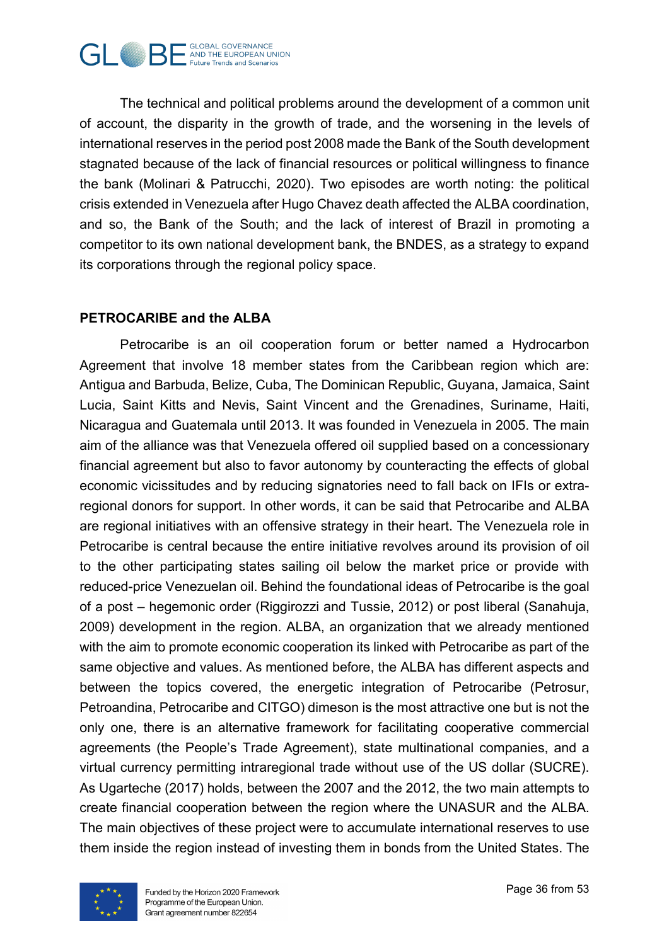

The technical and political problems around the development of a common unit of account, the disparity in the growth of trade, and the worsening in the levels of international reserves in the period post 2008 made the Bank of the South development stagnated because of the lack of financial resources or political willingness to finance the bank (Molinari & Patrucchi, 2020). Two episodes are worth noting: the political crisis extended in Venezuela after Hugo Chavez death affected the ALBA coordination, and so, the Bank of the South; and the lack of interest of Brazil in promoting a competitor to its own national development bank, the BNDES, as a strategy to expand its corporations through the regional policy space.

## <span id="page-35-0"></span>**PETROCARIBE and the ALBA**

Petrocaribe is an oil cooperation forum or better named a Hydrocarbon Agreement that involve 18 member states from the Caribbean region which are: Antigua and Barbuda, Belize, Cuba, The Dominican Republic, Guyana, Jamaica, Saint Lucia, Saint Kitts and Nevis, Saint Vincent and the Grenadines, Suriname, Haiti, Nicaragua and Guatemala until 2013. It was founded in Venezuela in 2005. The main aim of the alliance was that Venezuela offered oil supplied based on a concessionary financial agreement but also to favor autonomy by counteracting the effects of global economic vicissitudes and by reducing signatories need to fall back on IFIs or extraregional donors for support. In other words, it can be said that Petrocaribe and ALBA are regional initiatives with an offensive strategy in their heart. The Venezuela role in Petrocaribe is central because the entire initiative revolves around its provision of oil to the other participating states sailing oil below the market price or provide with reduced-price Venezuelan oil. Behind the foundational ideas of Petrocaribe is the goal of a post – hegemonic order (Riggirozzi and Tussie, 2012) or post liberal (Sanahuja, 2009) development in the region. ALBA, an organization that we already mentioned with the aim to promote economic cooperation its linked with Petrocaribe as part of the same objective and values. As mentioned before, the ALBA has different aspects and between the topics covered, the energetic integration of Petrocaribe (Petrosur, Petroandina, Petrocaribe and CITGO) dimeson is the most attractive one but is not the only one, there is an alternative framework for facilitating cooperative commercial agreements (the People's Trade Agreement), state multinational companies, and a virtual currency permitting intraregional trade without use of the US dollar (SUCRE). As Ugarteche (2017) holds, between the 2007 and the 2012, the two main attempts to create financial cooperation between the region where the UNASUR and the ALBA. The main objectives of these project were to accumulate international reserves to use them inside the region instead of investing them in bonds from the United States. The

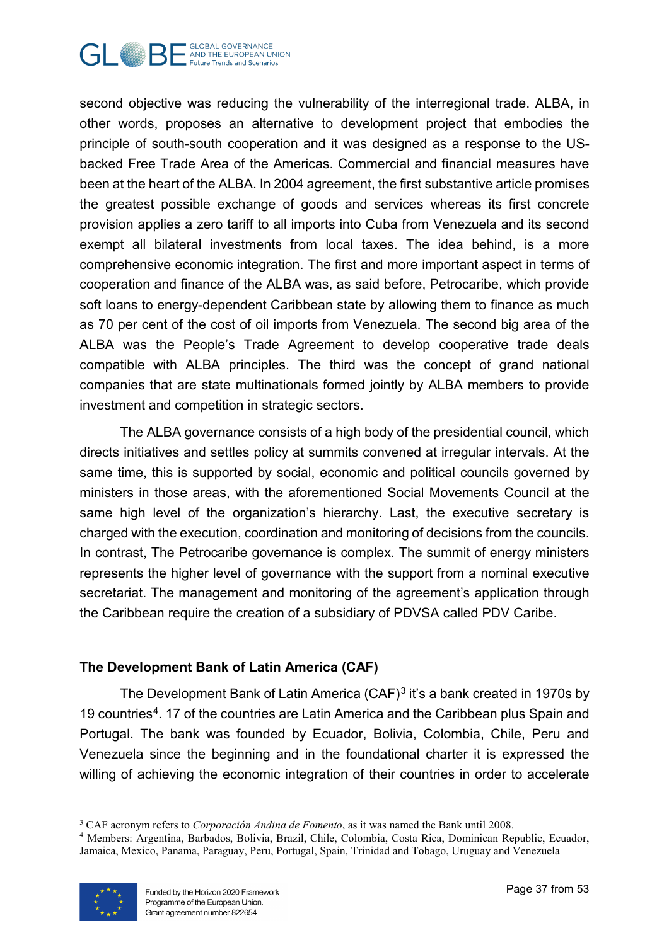

second objective was reducing the vulnerability of the interregional trade. ALBA, in other words, proposes an alternative to development project that embodies the principle of south-south cooperation and it was designed as a response to the USbacked Free Trade Area of the Americas. Commercial and financial measures have been at the heart of the ALBA. In 2004 agreement, the first substantive article promises the greatest possible exchange of goods and services whereas its first concrete provision applies a zero tariff to all imports into Cuba from Venezuela and its second exempt all bilateral investments from local taxes. The idea behind, is a more comprehensive economic integration. The first and more important aspect in terms of cooperation and finance of the ALBA was, as said before, Petrocaribe, which provide soft loans to energy-dependent Caribbean state by allowing them to finance as much as 70 per cent of the cost of oil imports from Venezuela. The second big area of the ALBA was the People's Trade Agreement to develop cooperative trade deals compatible with ALBA principles. The third was the concept of grand national companies that are state multinationals formed jointly by ALBA members to provide investment and competition in strategic sectors.

The ALBA governance consists of a high body of the presidential council, which directs initiatives and settles policy at summits convened at irregular intervals. At the same time, this is supported by social, economic and political councils governed by ministers in those areas, with the aforementioned Social Movements Council at the same high level of the organization's hierarchy. Last, the executive secretary is charged with the execution, coordination and monitoring of decisions from the councils. In contrast, The Petrocaribe governance is complex. The summit of energy ministers represents the higher level of governance with the support from a nominal executive secretariat. The management and monitoring of the agreement's application through the Caribbean require the creation of a subsidiary of PDVSA called PDV Caribe.

## <span id="page-36-0"></span>**The Development Bank of Latin America (CAF)**

The Development Bank of Latin America (CAF)<sup>[3](#page-36-1)</sup> it's a bank created in 1970s by 19 countries<sup>[4](#page-36-2)</sup>. 17 of the countries are Latin America and the Caribbean plus Spain and Portugal. The bank was founded by Ecuador, Bolivia, Colombia, Chile, Peru and Venezuela since the beginning and in the foundational charter it is expressed the willing of achieving the economic integration of their countries in order to accelerate

<span id="page-36-2"></span><span id="page-36-1"></span><sup>4</sup> Members: Argentina, Barbados, Bolivia, Brazil, Chile, Colombia, Costa Rica, Dominican Republic, Ecuador, Jamaica, Mexico, Panama, Paraguay, Peru, Portugal, Spain, Trinidad and Tobago, Uruguay and Venezuela



<sup>-</sup><sup>3</sup> CAF acronym refers to *Corporación Andina de Fomento*, as it was named the Bank until 2008.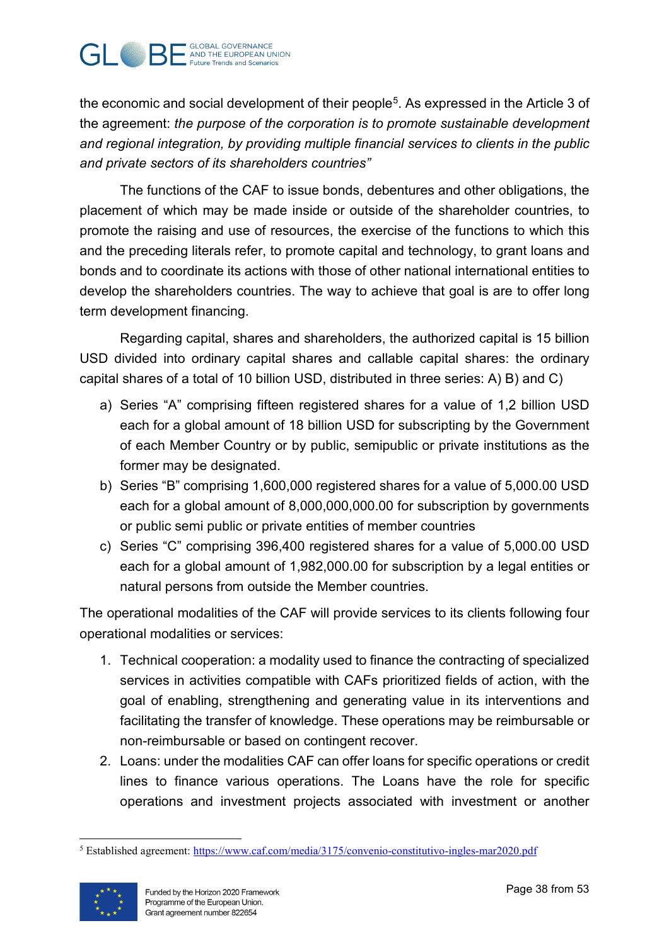

the economic and social development of their people<sup>[5](#page-37-0)</sup>. As expressed in the Article 3 of the agreement: *the purpose of the corporation is to promote sustainable development and regional integration, by providing multiple financial services to clients in the public and private sectors of its shareholders countries"*

The functions of the CAF to issue bonds, debentures and other obligations, the placement of which may be made inside or outside of the shareholder countries, to promote the raising and use of resources, the exercise of the functions to which this and the preceding literals refer, to promote capital and technology, to grant loans and bonds and to coordinate its actions with those of other national international entities to develop the shareholders countries. The way to achieve that goal is are to offer long term development financing.

Regarding capital, shares and shareholders, the authorized capital is 15 billion USD divided into ordinary capital shares and callable capital shares: the ordinary capital shares of a total of 10 billion USD, distributed in three series: A) B) and C)

- a) Series "A" comprising fifteen registered shares for a value of 1,2 billion USD each for a global amount of 18 billion USD for subscripting by the Government of each Member Country or by public, semipublic or private institutions as the former may be designated.
- b) Series "B" comprising 1,600,000 registered shares for a value of 5,000.00 USD each for a global amount of 8,000,000,000.00 for subscription by governments or public semi public or private entities of member countries
- c) Series "C" comprising 396,400 registered shares for a value of 5,000.00 USD each for a global amount of 1,982,000.00 for subscription by a legal entities or natural persons from outside the Member countries.

The operational modalities of the CAF will provide services to its clients following four operational modalities or services:

- 1. Technical cooperation: a modality used to finance the contracting of specialized services in activities compatible with CAFs prioritized fields of action, with the goal of enabling, strengthening and generating value in its interventions and facilitating the transfer of knowledge. These operations may be reimbursable or non-reimbursable or based on contingent recover.
- 2. Loans: under the modalities CAF can offer loans for specific operations or credit lines to finance various operations. The Loans have the role for specific operations and investment projects associated with investment or another

<span id="page-37-0"></span> $\overline{a}$ <sup>5</sup> Established agreement:<https://www.caf.com/media/3175/convenio-constitutivo-ingles-mar2020.pdf>

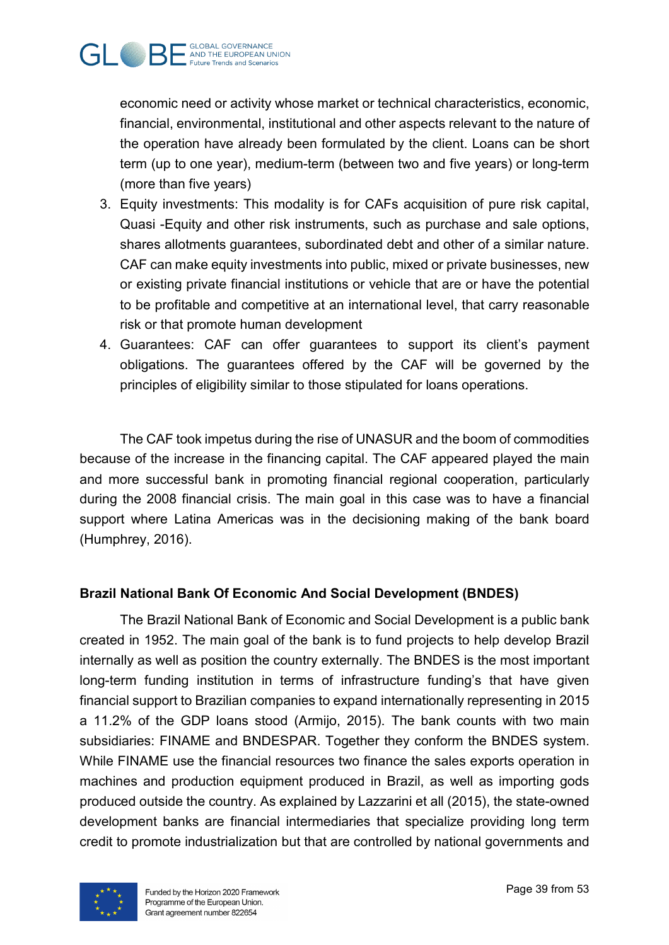

economic need or activity whose market or technical characteristics, economic, financial, environmental, institutional and other aspects relevant to the nature of the operation have already been formulated by the client. Loans can be short term (up to one year), medium-term (between two and five years) or long-term (more than five years)

- 3. Equity investments: This modality is for CAFs acquisition of pure risk capital, Quasi -Equity and other risk instruments, such as purchase and sale options, shares allotments guarantees, subordinated debt and other of a similar nature. CAF can make equity investments into public, mixed or private businesses, new or existing private financial institutions or vehicle that are or have the potential to be profitable and competitive at an international level, that carry reasonable risk or that promote human development
- 4. Guarantees: CAF can offer guarantees to support its client's payment obligations. The guarantees offered by the CAF will be governed by the principles of eligibility similar to those stipulated for loans operations.

The CAF took impetus during the rise of UNASUR and the boom of commodities because of the increase in the financing capital. The CAF appeared played the main and more successful bank in promoting financial regional cooperation, particularly during the 2008 financial crisis. The main goal in this case was to have a financial support where Latina Americas was in the decisioning making of the bank board (Humphrey, 2016).

## <span id="page-38-0"></span>**Brazil National Bank Of Economic And Social Development (BNDES)**

The Brazil National Bank of Economic and Social Development is a public bank created in 1952. The main goal of the bank is to fund projects to help develop Brazil internally as well as position the country externally. The BNDES is the most important long-term funding institution in terms of infrastructure funding's that have given financial support to Brazilian companies to expand internationally representing in 2015 a 11.2% of the GDP loans stood (Armijo, 2015). The bank counts with two main subsidiaries: FINAME and BNDESPAR. Together they conform the BNDES system. While FINAME use the financial resources two finance the sales exports operation in machines and production equipment produced in Brazil, as well as importing gods produced outside the country. As explained by Lazzarini et all (2015), the state-owned development banks are financial intermediaries that specialize providing long term credit to promote industrialization but that are controlled by national governments and

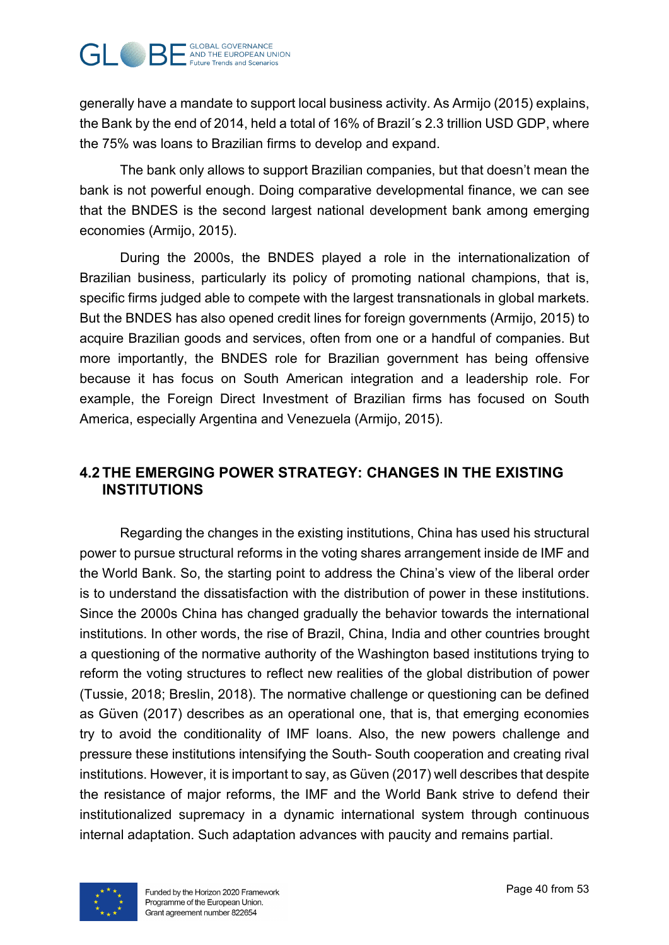

generally have a mandate to support local business activity. As Armijo (2015) explains, the Bank by the end of 2014, held a total of 16% of Brazil´s 2.3 trillion USD GDP, where the 75% was loans to Brazilian firms to develop and expand.

The bank only allows to support Brazilian companies, but that doesn't mean the bank is not powerful enough. Doing comparative developmental finance, we can see that the BNDES is the second largest national development bank among emerging economies (Armijo, 2015).

During the 2000s, the BNDES played a role in the internationalization of Brazilian business, particularly its policy of promoting national champions, that is, specific firms judged able to compete with the largest transnationals in global markets. But the BNDES has also opened credit lines for foreign governments (Armijo, 2015) to acquire Brazilian goods and services, often from one or a handful of companies. But more importantly, the BNDES role for Brazilian government has being offensive because it has focus on South American integration and a leadership role. For example, the Foreign Direct Investment of Brazilian firms has focused on South America, especially Argentina and Venezuela (Armijo, 2015).

# <span id="page-39-0"></span>**4.2 THE EMERGING POWER STRATEGY: CHANGES IN THE EXISTING INSTITUTIONS**

Regarding the changes in the existing institutions, China has used his structural power to pursue structural reforms in the voting shares arrangement inside de IMF and the World Bank. So, the starting point to address the China's view of the liberal order is to understand the dissatisfaction with the distribution of power in these institutions. Since the 2000s China has changed gradually the behavior towards the international institutions. In other words, the rise of Brazil, China, India and other countries brought a questioning of the normative authority of the Washington based institutions trying to reform the voting structures to reflect new realities of the global distribution of power (Tussie, 2018; Breslin, 2018). The normative challenge or questioning can be defined as Güven (2017) describes as an operational one, that is, that emerging economies try to avoid the conditionality of IMF loans. Also, the new powers challenge and pressure these institutions intensifying the South- South cooperation and creating rival institutions. However, it is important to say, as Güven (2017) well describes that despite the resistance of major reforms, the IMF and the World Bank strive to defend their institutionalized supremacy in a dynamic international system through continuous internal adaptation. Such adaptation advances with paucity and remains partial.

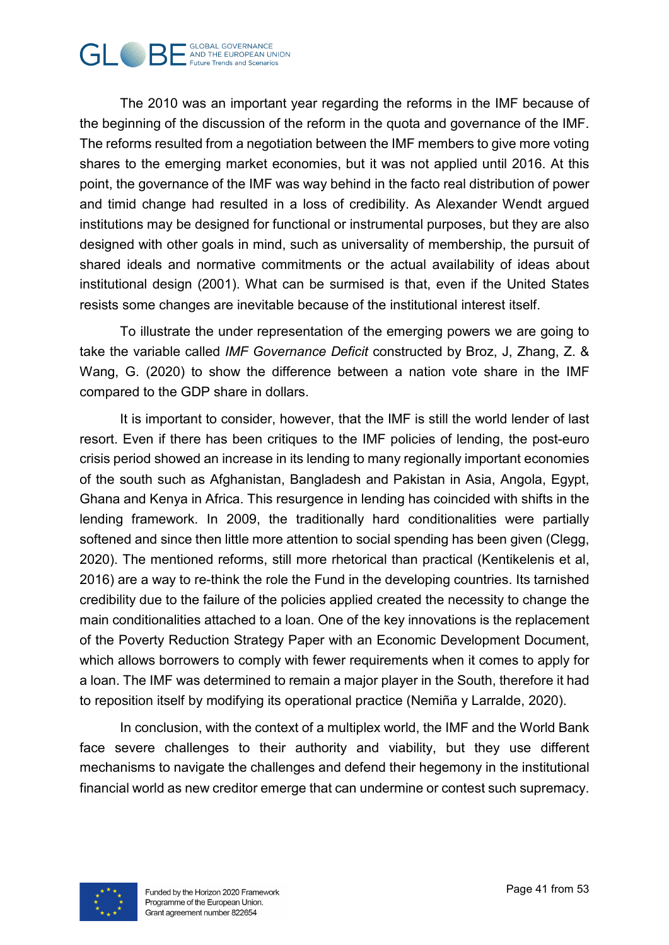

The 2010 was an important year regarding the reforms in the IMF because of the beginning of the discussion of the reform in the quota and governance of the IMF. The reforms resulted from a negotiation between the IMF members to give more voting shares to the emerging market economies, but it was not applied until 2016. At this point, the governance of the IMF was way behind in the facto real distribution of power and timid change had resulted in a loss of credibility. As Alexander Wendt argued institutions may be designed for functional or instrumental purposes, but they are also designed with other goals in mind, such as universality of membership, the pursuit of shared ideals and normative commitments or the actual availability of ideas about institutional design (2001). What can be surmised is that, even if the United States resists some changes are inevitable because of the institutional interest itself.

To illustrate the under representation of the emerging powers we are going to take the variable called *IMF Governance Deficit* constructed by Broz, J, Zhang, Z. & Wang, G. (2020) to show the difference between a nation vote share in the IMF compared to the GDP share in dollars.

It is important to consider, however, that the IMF is still the world lender of last resort. Even if there has been critiques to the IMF policies of lending, the post-euro crisis period showed an increase in its lending to many regionally important economies of the south such as Afghanistan, Bangladesh and Pakistan in Asia, Angola, Egypt, Ghana and Kenya in Africa. This resurgence in lending has coincided with shifts in the lending framework. In 2009, the traditionally hard conditionalities were partially softened and since then little more attention to social spending has been given (Clegg, 2020). The mentioned reforms, still more rhetorical than practical (Kentikelenis et al, 2016) are a way to re-think the role the Fund in the developing countries. Its tarnished credibility due to the failure of the policies applied created the necessity to change the main conditionalities attached to a loan. One of the key innovations is the replacement of the Poverty Reduction Strategy Paper with an Economic Development Document, which allows borrowers to comply with fewer requirements when it comes to apply for a loan. The IMF was determined to remain a major player in the South, therefore it had to reposition itself by modifying its operational practice (Nemiña y Larralde, 2020).

In conclusion, with the context of a multiplex world, the IMF and the World Bank face severe challenges to their authority and viability, but they use different mechanisms to navigate the challenges and defend their hegemony in the institutional financial world as new creditor emerge that can undermine or contest such supremacy.

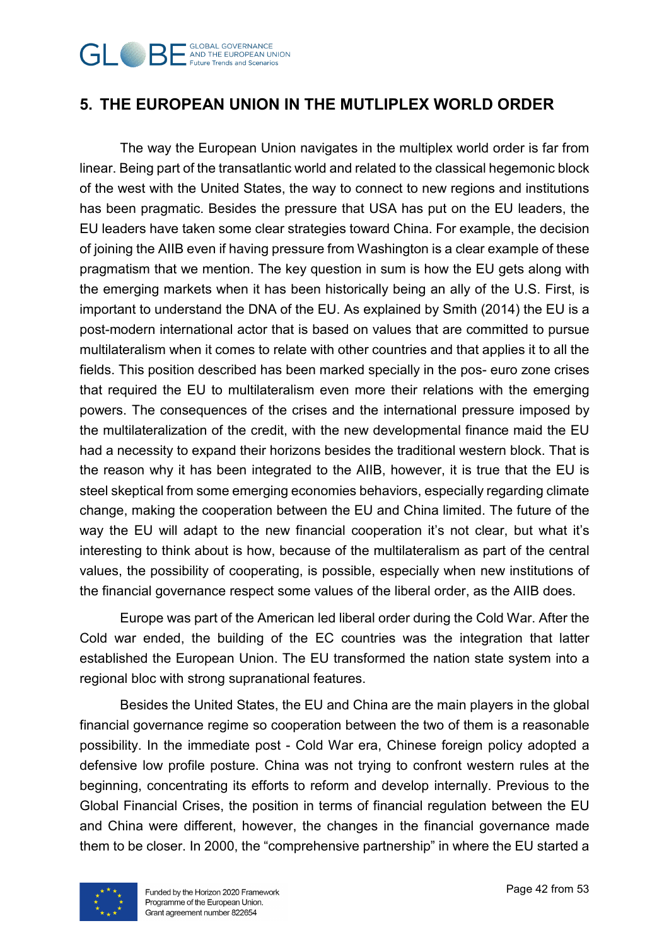

# <span id="page-41-0"></span>**5. THE EUROPEAN UNION IN THE MUTLIPLEX WORLD ORDER**

The way the European Union navigates in the multiplex world order is far from linear. Being part of the transatlantic world and related to the classical hegemonic block of the west with the United States, the way to connect to new regions and institutions has been pragmatic. Besides the pressure that USA has put on the EU leaders, the EU leaders have taken some clear strategies toward China. For example, the decision of joining the AIIB even if having pressure from Washington is a clear example of these pragmatism that we mention. The key question in sum is how the EU gets along with the emerging markets when it has been historically being an ally of the U.S. First, is important to understand the DNA of the EU. As explained by Smith (2014) the EU is a post-modern international actor that is based on values that are committed to pursue multilateralism when it comes to relate with other countries and that applies it to all the fields. This position described has been marked specially in the pos- euro zone crises that required the EU to multilateralism even more their relations with the emerging powers. The consequences of the crises and the international pressure imposed by the multilateralization of the credit, with the new developmental finance maid the EU had a necessity to expand their horizons besides the traditional western block. That is the reason why it has been integrated to the AIIB, however, it is true that the EU is steel skeptical from some emerging economies behaviors, especially regarding climate change, making the cooperation between the EU and China limited. The future of the way the EU will adapt to the new financial cooperation it's not clear, but what it's interesting to think about is how, because of the multilateralism as part of the central values, the possibility of cooperating, is possible, especially when new institutions of the financial governance respect some values of the liberal order, as the AIIB does.

Europe was part of the American led liberal order during the Cold War. After the Cold war ended, the building of the EC countries was the integration that latter established the European Union. The EU transformed the nation state system into a regional bloc with strong supranational features.

Besides the United States, the EU and China are the main players in the global financial governance regime so cooperation between the two of them is a reasonable possibility. In the immediate post - Cold War era, Chinese foreign policy adopted a defensive low profile posture. China was not trying to confront western rules at the beginning, concentrating its efforts to reform and develop internally. Previous to the Global Financial Crises, the position in terms of financial regulation between the EU and China were different, however, the changes in the financial governance made them to be closer. In 2000, the "comprehensive partnership" in where the EU started a

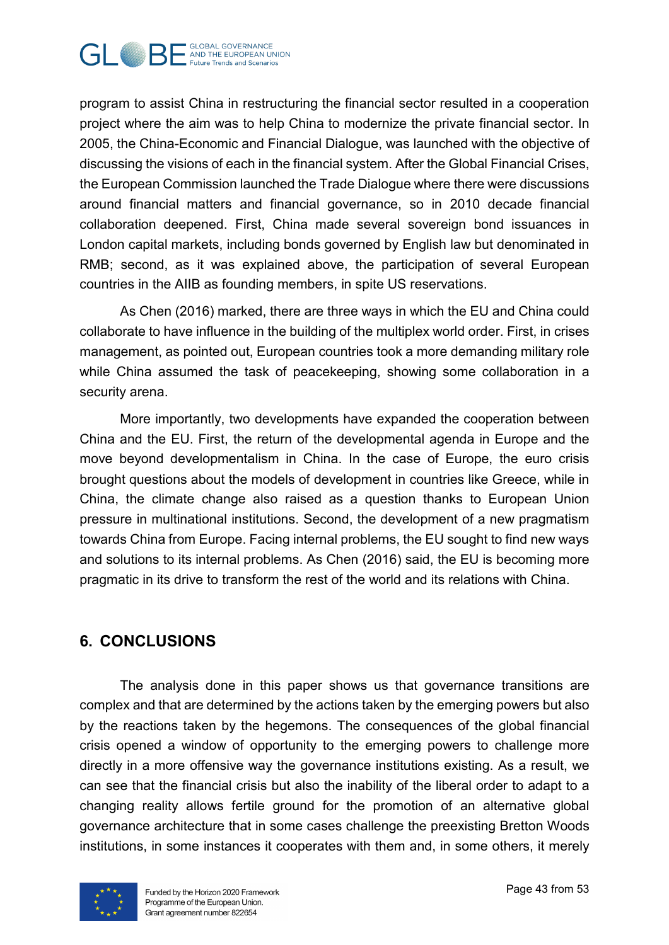

program to assist China in restructuring the financial sector resulted in a cooperation project where the aim was to help China to modernize the private financial sector. In 2005, the China-Economic and Financial Dialogue, was launched with the objective of discussing the visions of each in the financial system. After the Global Financial Crises, the European Commission launched the Trade Dialogue where there were discussions around financial matters and financial governance, so in 2010 decade financial collaboration deepened. First, China made several sovereign bond issuances in London capital markets, including bonds governed by English law but denominated in RMB; second, as it was explained above, the participation of several European countries in the AIIB as founding members, in spite US reservations.

As Chen (2016) marked, there are three ways in which the EU and China could collaborate to have influence in the building of the multiplex world order. First, in crises management, as pointed out, European countries took a more demanding military role while China assumed the task of peacekeeping, showing some collaboration in a security arena.

More importantly, two developments have expanded the cooperation between China and the EU. First, the return of the developmental agenda in Europe and the move beyond developmentalism in China. In the case of Europe, the euro crisis brought questions about the models of development in countries like Greece, while in China, the climate change also raised as a question thanks to European Union pressure in multinational institutions. Second, the development of a new pragmatism towards China from Europe. Facing internal problems, the EU sought to find new ways and solutions to its internal problems. As Chen (2016) said, the EU is becoming more pragmatic in its drive to transform the rest of the world and its relations with China.

# <span id="page-42-0"></span>**6. CONCLUSIONS**

The analysis done in this paper shows us that governance transitions are complex and that are determined by the actions taken by the emerging powers but also by the reactions taken by the hegemons. The consequences of the global financial crisis opened a window of opportunity to the emerging powers to challenge more directly in a more offensive way the governance institutions existing. As a result, we can see that the financial crisis but also the inability of the liberal order to adapt to a changing reality allows fertile ground for the promotion of an alternative global governance architecture that in some cases challenge the preexisting Bretton Woods institutions, in some instances it cooperates with them and, in some others, it merely

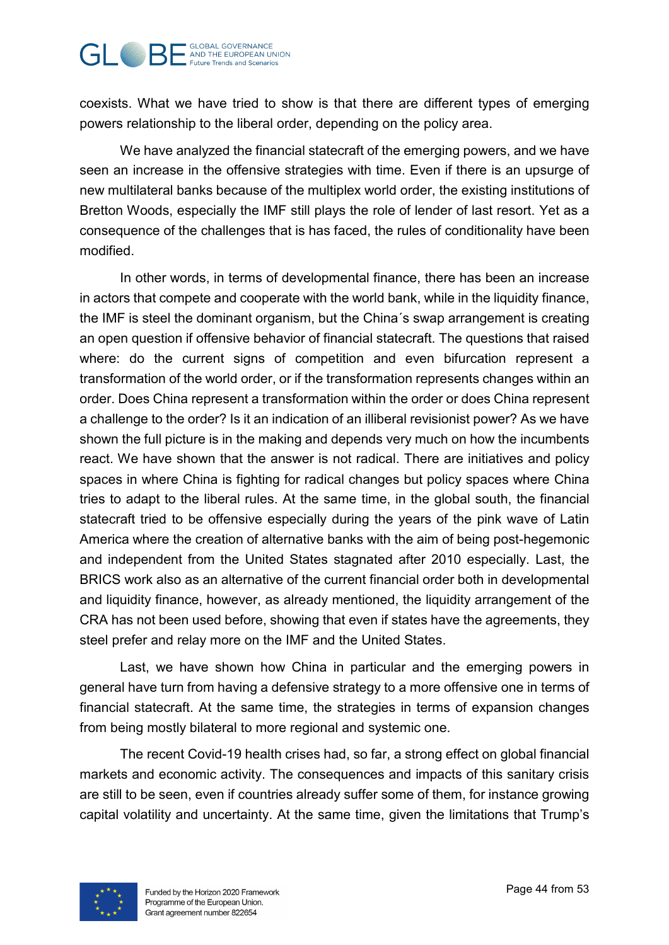#### **GLOBAL GOVERNANCE GUBAL GUSHANGER AND THE EUROPEAN UNION Future Trends and Scenarios**

coexists. What we have tried to show is that there are different types of emerging powers relationship to the liberal order, depending on the policy area.

We have analyzed the financial statecraft of the emerging powers, and we have seen an increase in the offensive strategies with time. Even if there is an upsurge of new multilateral banks because of the multiplex world order, the existing institutions of Bretton Woods, especially the IMF still plays the role of lender of last resort. Yet as a consequence of the challenges that is has faced, the rules of conditionality have been modified.

In other words, in terms of developmental finance, there has been an increase in actors that compete and cooperate with the world bank, while in the liquidity finance, the IMF is steel the dominant organism, but the China´s swap arrangement is creating an open question if offensive behavior of financial statecraft. The questions that raised where: do the current signs of competition and even bifurcation represent a transformation of the world order, or if the transformation represents changes within an order. Does China represent a transformation within the order or does China represent a challenge to the order? Is it an indication of an illiberal revisionist power? As we have shown the full picture is in the making and depends very much on how the incumbents react. We have shown that the answer is not radical. There are initiatives and policy spaces in where China is fighting for radical changes but policy spaces where China tries to adapt to the liberal rules. At the same time, in the global south, the financial statecraft tried to be offensive especially during the years of the pink wave of Latin America where the creation of alternative banks with the aim of being post-hegemonic and independent from the United States stagnated after 2010 especially. Last, the BRICS work also as an alternative of the current financial order both in developmental and liquidity finance, however, as already mentioned, the liquidity arrangement of the CRA has not been used before, showing that even if states have the agreements, they steel prefer and relay more on the IMF and the United States.

Last, we have shown how China in particular and the emerging powers in general have turn from having a defensive strategy to a more offensive one in terms of financial statecraft. At the same time, the strategies in terms of expansion changes from being mostly bilateral to more regional and systemic one.

The recent Covid-19 health crises had, so far, a strong effect on global financial markets and economic activity. The consequences and impacts of this sanitary crisis are still to be seen, even if countries already suffer some of them, for instance growing capital volatility and uncertainty. At the same time, given the limitations that Trump's

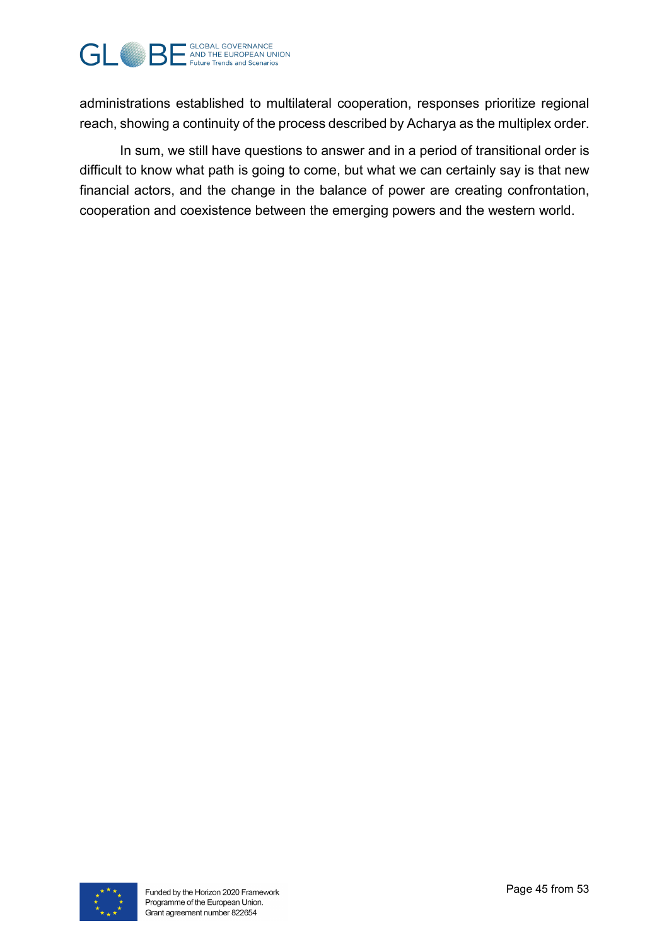

administrations established to multilateral cooperation, responses prioritize regional reach, showing a continuity of the process described by Acharya as the multiplex order.

In sum, we still have questions to answer and in a period of transitional order is difficult to know what path is going to come, but what we can certainly say is that new financial actors, and the change in the balance of power are creating confrontation, cooperation and coexistence between the emerging powers and the western world.

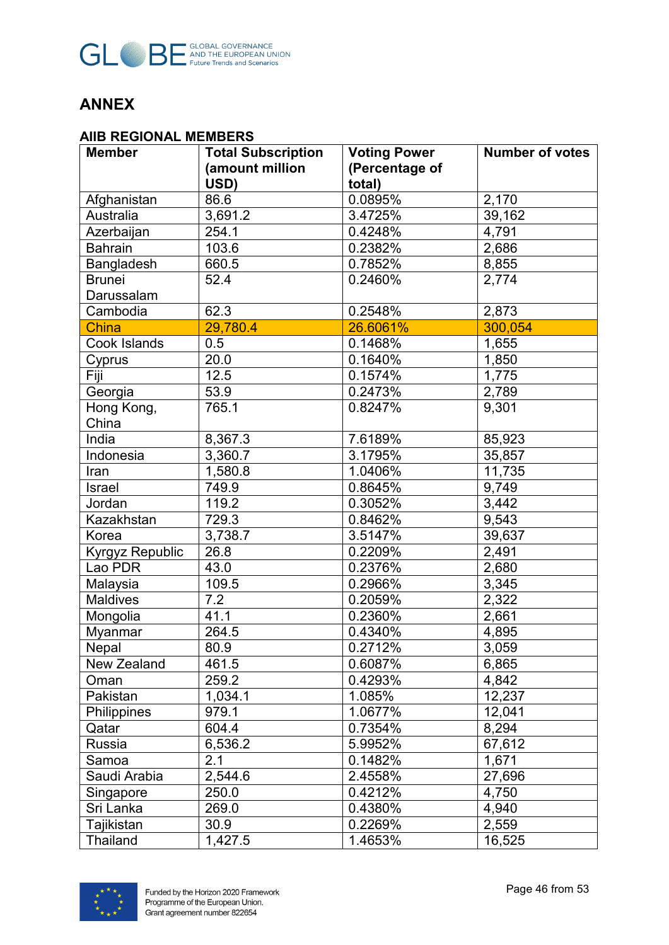

# <span id="page-45-0"></span>**ANNEX**

#### **AIIB REGIONAL MEMBERS**

| <b>Member</b>   | <b>Total Subscription</b> | <b>Voting Power</b> | <b>Number of votes</b> |
|-----------------|---------------------------|---------------------|------------------------|
|                 | (amount million           | (Percentage of      |                        |
|                 | USD)                      | total)              |                        |
| Afghanistan     | 86.6                      | 0.0895%             | 2,170                  |
| Australia       | 3,691.2                   | 3.4725%             | 39,162                 |
| Azerbaijan      | 254.1                     | 0.4248%             | 4,791                  |
| <b>Bahrain</b>  | 103.6                     | 0.2382%             | 2,686                  |
| Bangladesh      | 660.5                     | 0.7852%             | 8,855                  |
| <b>Brunei</b>   | 52.4                      | 0.2460%             | 2,774                  |
| Darussalam      |                           |                     |                        |
| Cambodia        | 62.3                      | 0.2548%             | 2,873                  |
| China           | 29,780.4                  | 26.6061%            | 300,054                |
| Cook Islands    | 0.5                       | 0.1468%             | 1,655                  |
| Cyprus          | 20.0                      | 0.1640%             | 1,850                  |
| Fiji            | 12.5                      | 0.1574%             | 1,775                  |
| Georgia         | 53.9                      | 0.2473%             | 2,789                  |
| Hong Kong,      | 765.1                     | 0.8247%             | 9,301                  |
| China           |                           |                     |                        |
| India           | 8,367.3                   | 7.6189%             | 85,923                 |
| Indonesia       | 3,360.7                   | 3.1795%             | 35,857                 |
| Iran            | 1,580.8                   | 1.0406%             | 11,735                 |
| Israel          | 749.9                     | 0.8645%             | 9,749                  |
| Jordan          | 119.2                     | 0.3052%             | 3,442                  |
| Kazakhstan      | 729.3                     | 0.8462%             | 9,543                  |
| Korea           | 3,738.7                   | 3.5147%             | 39,637                 |
| Kyrgyz Republic | 26.8                      | 0.2209%             | 2,491                  |
| Lao PDR         | 43.0                      | 0.2376%             | 2,680                  |
| Malaysia        | 109.5                     | 0.2966%             | 3,345                  |
| <b>Maldives</b> | 7.2                       | 0.2059%             | 2,322                  |
| Mongolia        | 41.1                      | 0.2360%             | 2,661                  |
| Myanmar         | 264.5                     | 0.4340%             | 4,895                  |
| Nepal           | 80.9                      | 0.2712%             | 3,059                  |
| New Zealand     | 461.5                     | 0.6087%             | 6,865                  |
| Oman            | 259.2                     | 0.4293%             | 4,842                  |
| Pakistan        | 1,034.1                   | 1.085%              | 12,237                 |
| Philippines     | 979.1                     | 1.0677%             | 12,041                 |
| Qatar           | 604.4                     | 0.7354%             | 8,294                  |
| Russia          | 6,536.2                   | 5.9952%             | 67,612                 |
| Samoa           | 2.1                       | 0.1482%             | 1,671                  |
| Saudi Arabia    | 2,544.6                   | 2.4558%             | 27,696                 |
| Singapore       | 250.0                     | 0.4212%             | 4,750                  |
| Sri Lanka       | 269.0                     | 0.4380%             | 4,940                  |
| Tajikistan      | 30.9                      | 0.2269%             | 2,559                  |
| <b>Thailand</b> | 1,427.5                   | 1.4653%             | 16,525                 |

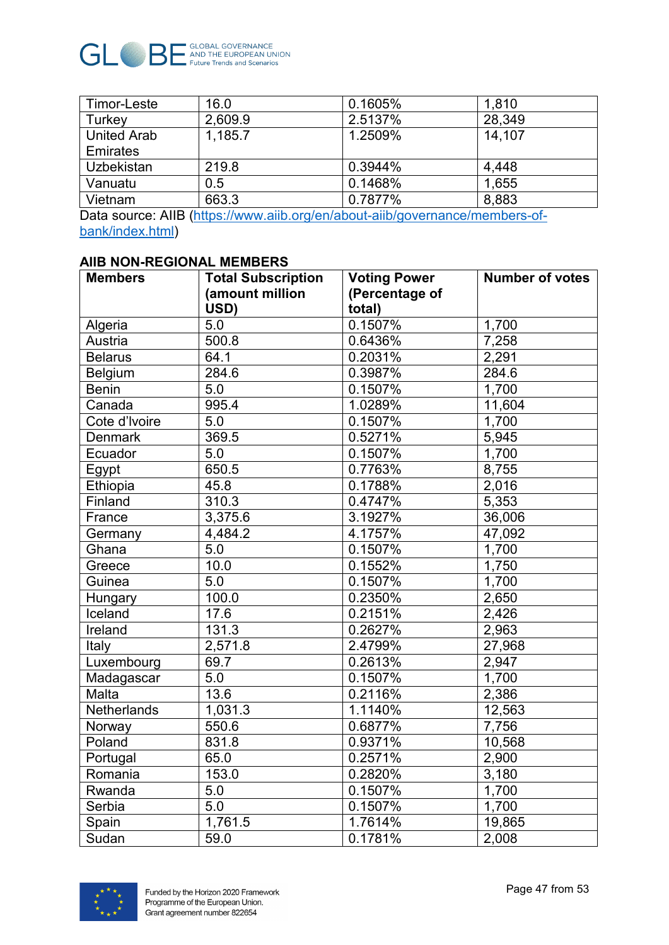

| Timor-Leste        | 16.0    | 0.1605% | 1,810  |
|--------------------|---------|---------|--------|
| Turkey             | 2,609.9 | 2.5137% | 28,349 |
| <b>United Arab</b> | 1,185.7 | 1.2509% | 14.107 |
| Emirates           |         |         |        |
| Uzbekistan         | 219.8   | 0.3944% | 4,448  |
| Vanuatu            | 0.5     | 0.1468% | 1,655  |
| Vietnam            | 663.3   | 0.7877% | 8,883  |

Data source: AIIB [\(https://www.aiib.org/en/about-aiib/governance/members-of](https://www.aiib.org/en/about-aiib/governance/members-of-bank/index.html)[bank/index.html\)](https://www.aiib.org/en/about-aiib/governance/members-of-bank/index.html)

#### **AIIB NON-REGIONAL MEMBERS**

| <b>Members</b>     | <b>Total Subscription</b> | <b>Voting Power</b> | <b>Number of votes</b> |
|--------------------|---------------------------|---------------------|------------------------|
|                    | (amount million           | (Percentage of      |                        |
|                    | USD)                      | total)              |                        |
| Algeria            | 5.0                       | 0.1507%             | 1,700                  |
| Austria            | 500.8                     | 0.6436%             | 7,258                  |
| <b>Belarus</b>     | 64.1                      | 0.2031%             | 2,291                  |
| Belgium            | 284.6                     | 0.3987%             | 284.6                  |
| <b>Benin</b>       | 5.0                       | 0.1507%             | 1,700                  |
| Canada             | 995.4                     | 1.0289%             | 11,604                 |
| Cote d'Ivoire      | 5.0                       | 0.1507%             | 1,700                  |
| <b>Denmark</b>     | 369.5                     | 0.5271%             | 5,945                  |
| Ecuador            | 5.0                       | 0.1507%             | 1,700                  |
| Egypt              | 650.5                     | 0.7763%             | 8,755                  |
| Ethiopia           | 45.8                      | 0.1788%             | 2,016                  |
| Finland            | 310.3                     | 0.4747%             | 5,353                  |
| France             | 3,375.6                   | 3.1927%             | 36,006                 |
| Germany            | 4,484.2                   | 4.1757%             | 47,092                 |
| Ghana              | 5.0                       | 0.1507%             | 1,700                  |
| Greece             | 10.0                      | 0.1552%             | 1,750                  |
| Guinea             | 5.0                       | 0.1507%             | 1,700                  |
| Hungary            | 100.0                     | 0.2350%             | 2,650                  |
| Iceland            | 17.6                      | 0.2151%             | 2,426                  |
| Ireland            | 131.3                     | 0.2627%             | 2,963                  |
| Italy              | 2,571.8                   | 2.4799%             | 27,968                 |
| Luxembourg         | 69.7                      | 0.2613%             | 2,947                  |
| Madagascar         | 5.0                       | 0.1507%             | 1,700                  |
| Malta              | 13.6                      | 0.2116%             | 2,386                  |
| <b>Netherlands</b> | 1,031.3                   | 1.1140%             | 12,563                 |
| Norway             | 550.6                     | 0.6877%             | 7,756                  |
| Poland             | 831.8                     | 0.9371%             | 10,568                 |
| Portugal           | 65.0                      | 0.2571%             | 2,900                  |
| Romania            | 153.0                     | 0.2820%             | 3,180                  |
| Rwanda             | 5.0                       | 0.1507%             | 1,700                  |
| Serbia             | 5.0                       | 0.1507%             | 1,700                  |
| Spain              | 1,761.5                   | 1.7614%             | 19,865                 |
| Sudan              | 59.0                      | 0.1781%             | 2,008                  |

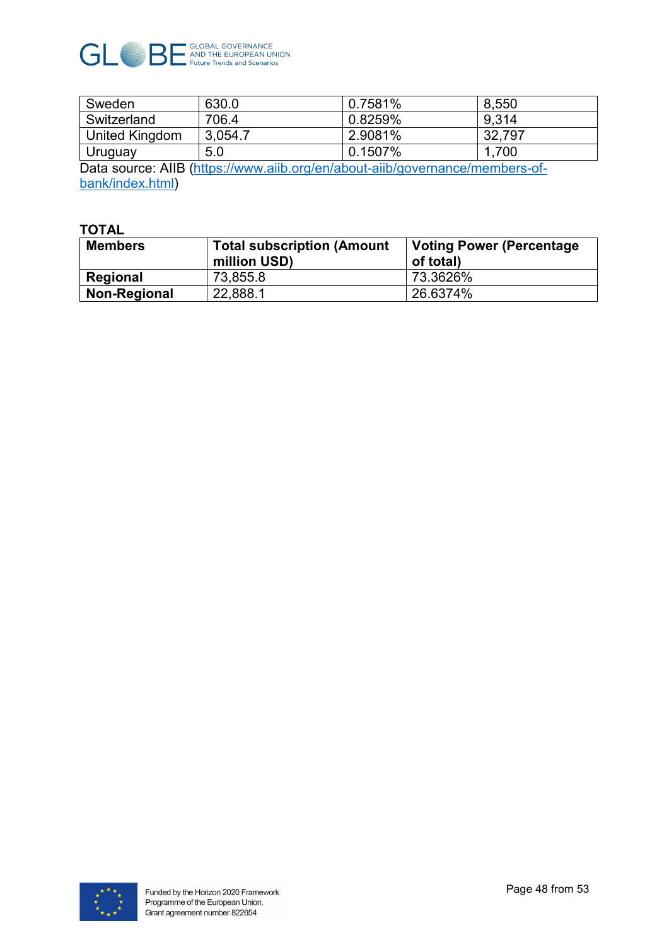

| Sweden                                                                                   | 630.0   | 0.7581% | 8,550  |
|------------------------------------------------------------------------------------------|---------|---------|--------|
| Switzerland                                                                              | 706.4   | 0.8259% | 9.314  |
| <b>United Kingdom</b>                                                                    | 3,054.7 | 2.9081% | 32,797 |
| Uruguay                                                                                  | 5.0     | 0.1507% | 1,700  |
| Determine on AUD (lettermilion on the model delegate the local memory of the contract of |         |         |        |

Data source: AIIB [\(https://www.aiib.org/en/about-aiib/governance/members-of](https://www.aiib.org/en/about-aiib/governance/members-of-bank/index.html)[bank/index.html\)](https://www.aiib.org/en/about-aiib/governance/members-of-bank/index.html)

#### **TOTAL**

| <b>Members</b> | <b>Total subscription (Amount</b><br>million USD) | <b>Voting Power (Percentage)</b><br>of total) |
|----------------|---------------------------------------------------|-----------------------------------------------|
| Regional       | 73,855.8                                          | 73.3626%                                      |
| Non-Regional   | 22,888.1                                          | 26.6374%                                      |

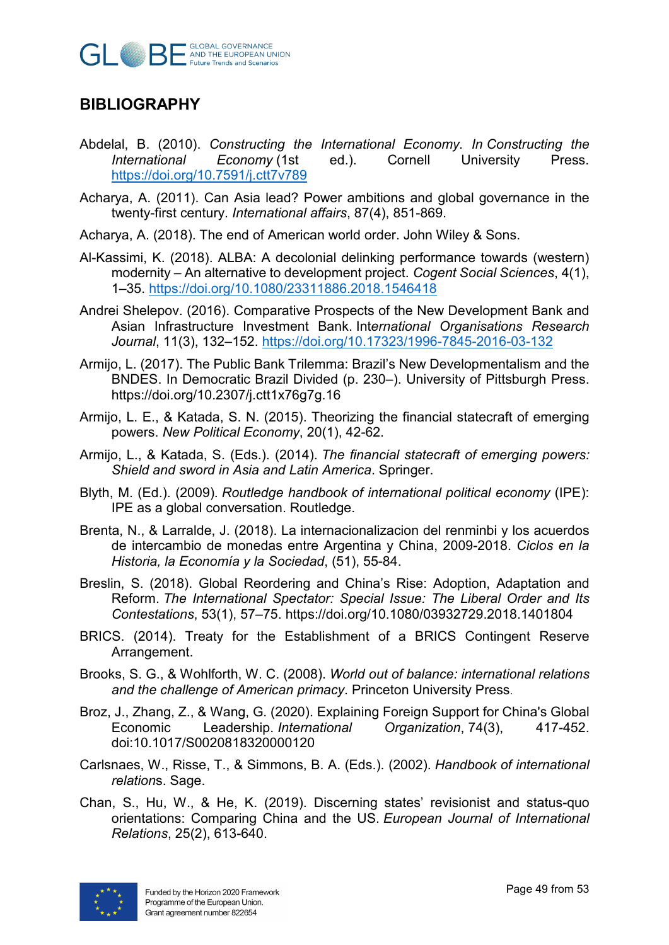

# <span id="page-48-0"></span>**BIBLIOGRAPHY**

- Abdelal, B. (2010). *Constructing the International Economy. In Constructing the Economy* (1st <https://doi.org/10.7591/j.ctt7v789>
- Acharya, A. (2011). Can Asia lead? Power ambitions and global governance in the twenty-first century. *International affairs*, 87(4), 851-869.
- Acharya, A. (2018). The end of American world order. John Wiley & Sons.
- Al-Kassimi, K. (2018). ALBA: A decolonial delinking performance towards (western) modernity – An alternative to development project. *Cogent Social Sciences*, 4(1), 1–35.<https://doi.org/10.1080/23311886.2018.1546418>
- Andrei Shelepov. (2016). Comparative Prospects of the New Development Bank and Asian Infrastructure Investment Bank. Int*ernational Organisations Research Journal*, 11(3), 132–152.<https://doi.org/10.17323/1996-7845-2016-03-132>
- Armijo, L. (2017). The Public Bank Trilemma: Brazil's New Developmentalism and the BNDES. In Democratic Brazil Divided (p. 230–). University of Pittsburgh Press. https://doi.org/10.2307/j.ctt1x76g7g.16
- Armijo, L. E., & Katada, S. N. (2015). Theorizing the financial statecraft of emerging powers. *New Political Economy*, 20(1), 42-62.
- Armijo, L., & Katada, S. (Eds.). (2014). *The financial statecraft of emerging powers: Shield and sword in Asia and Latin America*. Springer.
- Blyth, M. (Ed.). (2009). *Routledge handbook of international political economy* (IPE): IPE as a global conversation. Routledge.
- Brenta, N., & Larralde, J. (2018). La internacionalizacion del renminbi y los acuerdos de intercambio de monedas entre Argentina y China, 2009-2018. *Ciclos en la Historia, la Economía y la Sociedad*, (51), 55-84.
- Breslin, S. (2018). Global Reordering and China's Rise: Adoption, Adaptation and Reform. *The International Spectator: Special Issue: The Liberal Order and Its Contestations*, 53(1), 57–75. https://doi.org/10.1080/03932729.2018.1401804
- BRICS. (2014). Treaty for the Establishment of a BRICS Contingent Reserve Arrangement.
- Brooks, S. G., & Wohlforth, W. C. (2008). *World out of balance: international relations and the challenge of American primacy*. Princeton University Press.
- Broz, J., Zhang, Z., & Wang, G. (2020). Explaining Foreign Support for China's Global Economic Leadership. *International Organization*, 74(3), 417-452. doi:10.1017/S0020818320000120
- Carlsnaes, W., Risse, T., & Simmons, B. A. (Eds.). (2002). *Handbook of international relation*s. Sage.
- Chan, S., Hu, W., & He, K. (2019). Discerning states' revisionist and status-quo orientations: Comparing China and the US. *European Journal of International Relations*, 25(2), 613-640.

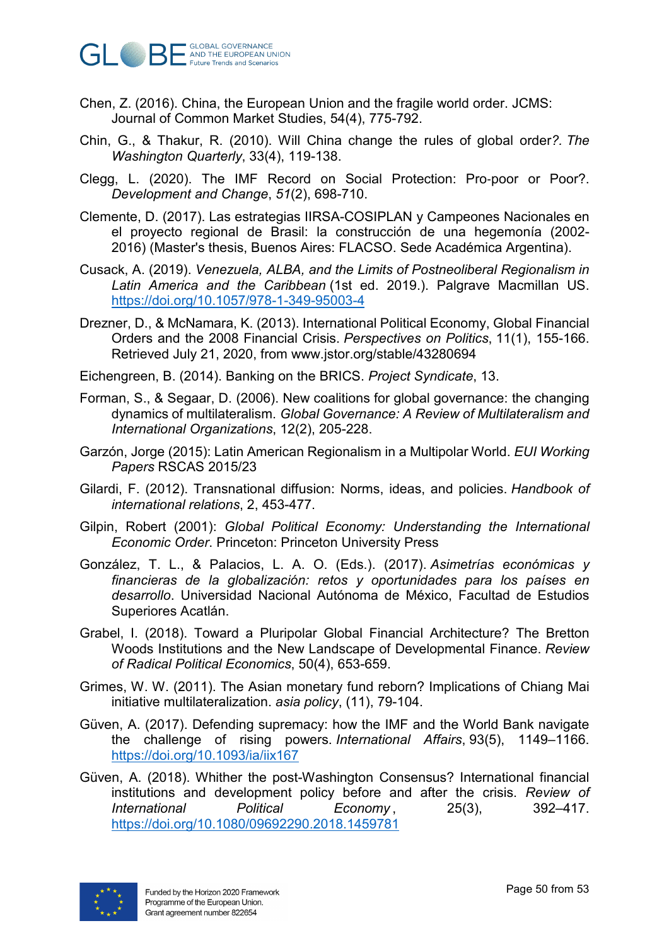

- Chen, Z. (2016). China, the European Union and the fragile world order. JCMS: Journal of Common Market Studies, 54(4), 775-792.
- Chin, G., & Thakur, R. (2010). Will China change the rules of global order*?. The Washington Quarterly*, 33(4), 119-138.
- Clegg, L. (2020). The IMF Record on Social Protection: Pro‐poor or Poor?. *Development and Change*, *51*(2), 698-710.
- Clemente, D. (2017). Las estrategias IIRSA-COSIPLAN y Campeones Nacionales en el proyecto regional de Brasil: la construcción de una hegemonía (2002- 2016) (Master's thesis, Buenos Aires: FLACSO. Sede Académica Argentina).
- Cusack, A. (2019). *Venezuela, ALBA, and the Limits of Postneoliberal Regionalism in Latin America and the Caribbean* (1st ed. 2019.). Palgrave Macmillan US. <https://doi.org/10.1057/978-1-349-95003-4>
- Drezner, D., & McNamara, K. (2013). International Political Economy, Global Financial Orders and the 2008 Financial Crisis. *Perspectives on Politics*, 11(1), 155-166. Retrieved July 21, 2020, from www.jstor.org/stable/43280694
- Eichengreen, B. (2014). Banking on the BRICS. *Project Syndicate*, 13.
- Forman, S., & Segaar, D. (2006). New coalitions for global governance: the changing dynamics of multilateralism. *Global Governance: A Review of Multilateralism and International Organizations*, 12(2), 205-228.
- Garzón, Jorge (2015): Latin American Regionalism in a Multipolar World. *EUI Working Papers* RSCAS 2015/23
- Gilardi, F. (2012). Transnational diffusion: Norms, ideas, and policies. *Handbook of international relations*, 2, 453-477.
- Gilpin, Robert (2001): *Global Political Economy: Understanding the International Economic Order*. Princeton: Princeton University Press
- González, T. L., & Palacios, L. A. O. (Eds.). (2017). *Asimetrías económicas y financieras de la globalización: retos y oportunidades para los países en desarrollo*. Universidad Nacional Autónoma de México, Facultad de Estudios Superiores Acatlán.
- Grabel, I. (2018). Toward a Pluripolar Global Financial Architecture? The Bretton Woods Institutions and the New Landscape of Developmental Finance. *Review of Radical Political Economics*, 50(4), 653-659.
- Grimes, W. W. (2011). The Asian monetary fund reborn? Implications of Chiang Mai initiative multilateralization. *asia policy*, (11), 79-104.
- Güven, A. (2017). Defending supremacy: how the IMF and the World Bank navigate the challenge of rising powers. *International Affairs*, 93(5), 1149–1166. <https://doi.org/10.1093/ia/iix167>
- Güven, A. (2018). Whither the post-Washington Consensus? International financial institutions and development policy before and after the crisis. *Review of International Political Economy*, 25(3), 392–417. <https://doi.org/10.1080/09692290.2018.1459781>

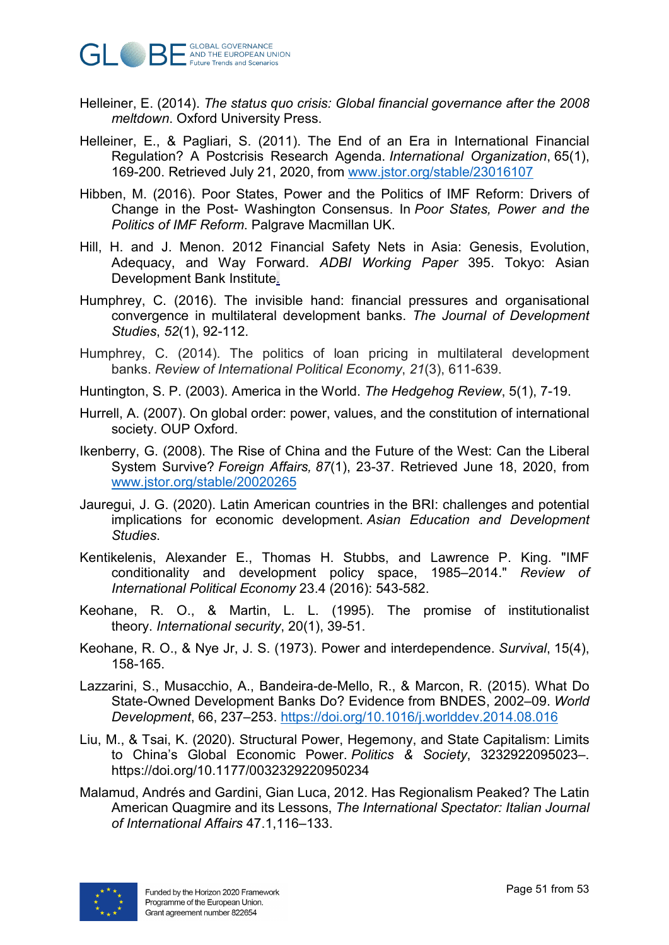

- Helleiner, E. (2014). *The status quo crisis: Global financial governance after the 2008 meltdown*. Oxford University Press.
- Helleiner, E., & Pagliari, S. (2011). The End of an Era in International Financial Regulation? A Postcrisis Research Agenda. *International Organization*, 65(1), 169-200. Retrieved July 21, 2020, from [www.jstor.org/stable/23016107](http://www.jstor.org/stable/23016107)
- Hibben, M. (2016). Poor States, Power and the Politics of IMF Reform: Drivers of Change in the Post- Washington Consensus. In *Poor States, Power and the Politics of IMF Reform*. Palgrave Macmillan UK.
- [Hill, H. and J. Menon. 2012 Financial Safety Nets in Asia: Genesis, Evolution,](http://www.adbi.org/working-paper/2012/11/12/5330.financial.safety.nets.asia/)  [Adequacy, and Way Forward.](http://www.adbi.org/working-paper/2012/11/12/5330.financial.safety.nets.asia/) *ADBI Working Paper* 395. Tokyo: Asian [Development Bank Institute.](http://www.adbi.org/working-paper/2012/11/12/5330.financial.safety.nets.asia/)
- Humphrey, C. (2016). The invisible hand: financial pressures and organisational convergence in multilateral development banks. *The Journal of Development Studies*, *52*(1), 92-112.
- Humphrey, C. (2014). The politics of loan pricing in multilateral development banks. *Review of International Political Economy*, *21*(3), 611-639.
- Huntington, S. P. (2003). America in the World. *The Hedgehog Review*, 5(1), 7-19.
- Hurrell, A. (2007). On global order: power, values, and the constitution of international society. OUP Oxford.
- Ikenberry, G. (2008). The Rise of China and the Future of the West: Can the Liberal System Survive? *Foreign Affairs, 87*(1), 23-37. Retrieved June 18, 2020, from [www.jstor.org/stable/20020265](http://www.jstor.org/stable/20020265)
- Jauregui, J. G. (2020). Latin American countries in the BRI: challenges and potential implications for economic development. *Asian Education and Development Studies*.
- Kentikelenis, Alexander E., Thomas H. Stubbs, and Lawrence P. King. "IMF conditionality and development policy space, 1985–2014." *Review of International Political Economy* 23.4 (2016): 543-582.
- Keohane, R. O., & Martin, L. L. (1995). The promise of institutionalist theory. *International security*, 20(1), 39-51.
- Keohane, R. O., & Nye Jr, J. S. (1973). Power and interdependence. *Survival*, 15(4), 158-165.
- Lazzarini, S., Musacchio, A., Bandeira-de-Mello, R., & Marcon, R. (2015). What Do State-Owned Development Banks Do? Evidence from BNDES, 2002–09. *World Development*, 66, 237–253.<https://doi.org/10.1016/j.worlddev.2014.08.016>
- Liu, M., & Tsai, K. (2020). Structural Power, Hegemony, and State Capitalism: Limits to China's Global Economic Power. *Politics & Society*, 3232922095023–. https://doi.org/10.1177/0032329220950234
- Malamud, Andrés and Gardini, Gian Luca, 2012. Has Regionalism Peaked? The Latin American Quagmire and its Lessons, *The International Spectator: Italian Journal of International Affairs* 47.1,116–133.

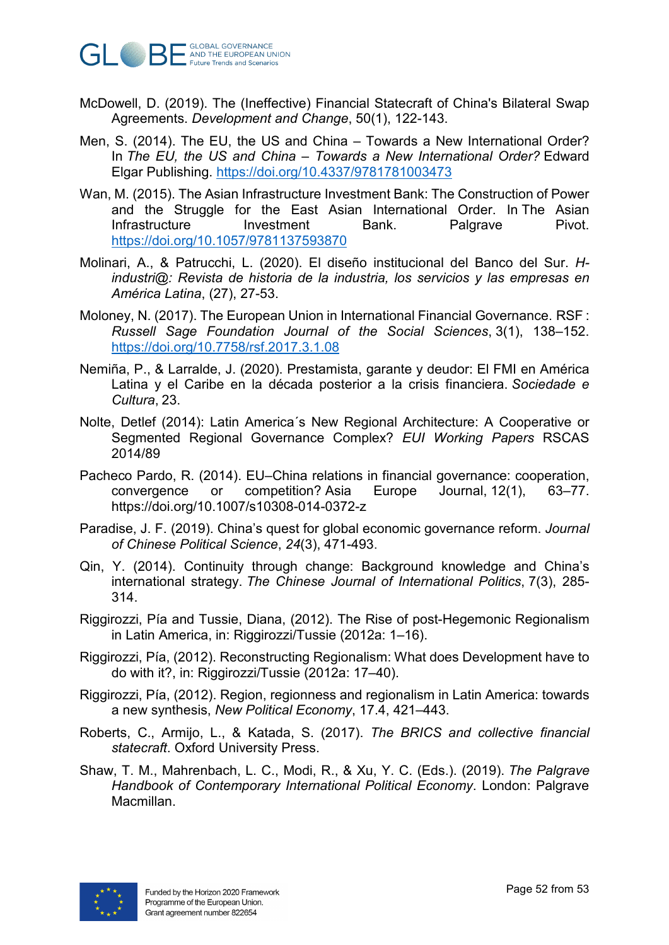

- McDowell, D. (2019). The (Ineffective) Financial Statecraft of China's Bilateral Swap Agreements. *Development and Change*, 50(1), 122-143.
- Men, S. (2014). The EU, the US and China Towards a New International Order? In *The EU, the US and China – Towards a New International Order?* Edward Elgar Publishing.<https://doi.org/10.4337/9781781003473>
- Wan, M. (2015). The Asian Infrastructure Investment Bank: The Construction of Power and the Struggle for the East Asian International Order. In The Asian Infrastructure Investment Bank. Palgrave Pivot. <https://doi.org/10.1057/9781137593870>
- Molinari, A., & Patrucchi, L. (2020). El diseño institucional del Banco del Sur. *Hindustri@: Revista de historia de la industria, los servicios y las empresas en América Latina*, (27), 27-53.
- Moloney, N. (2017). The European Union in International Financial Governance. RSF : *Russell Sage Foundation Journal of the Social Sciences*, 3(1), 138–152. <https://doi.org/10.7758/rsf.2017.3.1.08>
- Nemiña, P., & Larralde, J. (2020). Prestamista, garante y deudor: El FMI en América Latina y el Caribe en la década posterior a la crisis financiera. *Sociedade e Cultura*, 23.
- Nolte, Detlef (2014): Latin America´s New Regional Architecture: A Cooperative or Segmented Regional Governance Complex? *EUI Working Papers* RSCAS 2014/89
- Pacheco Pardo, R. (2014). EU–China relations in financial governance: cooperation, convergence or competition? Asia Europe Journal, 12(1), 63–77. https://doi.org/10.1007/s10308-014-0372-z
- Paradise, J. F. (2019). China's quest for global economic governance reform. *Journal of Chinese Political Science*, *24*(3), 471-493.
- Qin, Y. (2014). Continuity through change: Background knowledge and China's international strategy. *The Chinese Journal of International Politics*, 7(3), 285- 314.
- Riggirozzi, Pía and Tussie, Diana, (2012). The Rise of post-Hegemonic Regionalism in Latin America, in: Riggirozzi/Tussie (2012a: 1–16).
- Riggirozzi, Pía, (2012). Reconstructing Regionalism: What does Development have to do with it?, in: Riggirozzi/Tussie (2012a: 17–40).
- Riggirozzi, Pía, (2012). Region, regionness and regionalism in Latin America: towards a new synthesis, *New Political Economy*, 17.4, 421–443.
- Roberts, C., Armijo, L., & Katada, S. (2017). *The BRICS and collective financial statecraft*. Oxford University Press.
- Shaw, T. M., Mahrenbach, L. C., Modi, R., & Xu, Y. C. (Eds.). (2019). *The Palgrave Handbook of Contemporary International Political Economy*. London: Palgrave Macmillan.